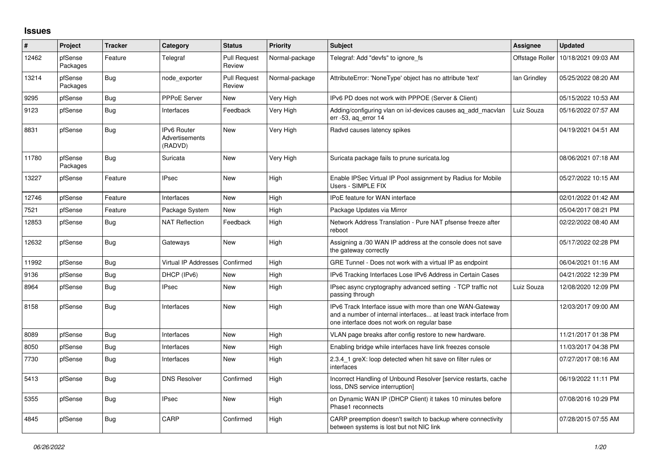## **Issues**

| #     | Project             | <b>Tracker</b> | Category                                 | <b>Status</b>                 | <b>Priority</b> | <b>Subject</b>                                                                                                                                                                | Assignee        | <b>Updated</b>      |
|-------|---------------------|----------------|------------------------------------------|-------------------------------|-----------------|-------------------------------------------------------------------------------------------------------------------------------------------------------------------------------|-----------------|---------------------|
| 12462 | pfSense<br>Packages | Feature        | Telegraf                                 | <b>Pull Request</b><br>Review | Normal-package  | Telegraf: Add "devfs" to ignore fs                                                                                                                                            | Offstage Roller | 10/18/2021 09:03 AM |
| 13214 | pfSense<br>Packages | Bug            | node exporter                            | <b>Pull Request</b><br>Review | Normal-package  | AttributeError: 'NoneType' object has no attribute 'text'                                                                                                                     | lan Grindley    | 05/25/2022 08:20 AM |
| 9295  | pfSense             | <b>Bug</b>     | PPPoE Server                             | <b>New</b>                    | Very High       | IPv6 PD does not work with PPPOE (Server & Client)                                                                                                                            |                 | 05/15/2022 10:53 AM |
| 9123  | pfSense             | Bug            | Interfaces                               | Feedback                      | Very High       | Adding/configuring vlan on ixl-devices causes ag add macylan<br>err -53, ag error 14                                                                                          | Luiz Souza      | 05/16/2022 07:57 AM |
| 8831  | pfSense             | Bug            | IPv6 Router<br>Advertisements<br>(RADVD) | <b>New</b>                    | Very High       | Radvd causes latency spikes                                                                                                                                                   |                 | 04/19/2021 04:51 AM |
| 11780 | pfSense<br>Packages | Bug            | Suricata                                 | New                           | Very High       | Suricata package fails to prune suricata.log                                                                                                                                  |                 | 08/06/2021 07:18 AM |
| 13227 | pfSense             | Feature        | <b>IPsec</b>                             | <b>New</b>                    | High            | Enable IPSec Virtual IP Pool assignment by Radius for Mobile<br>Users - SIMPLE FIX                                                                                            |                 | 05/27/2022 10:15 AM |
| 12746 | pfSense             | Feature        | Interfaces                               | <b>New</b>                    | High            | <b>IPoE</b> feature for WAN interface                                                                                                                                         |                 | 02/01/2022 01:42 AM |
| 7521  | pfSense             | Feature        | Package System                           | <b>New</b>                    | High            | Package Updates via Mirror                                                                                                                                                    |                 | 05/04/2017 08:21 PM |
| 12853 | pfSense             | Bug            | <b>NAT Reflection</b>                    | Feedback                      | High            | Network Address Translation - Pure NAT pfsense freeze after<br>reboot                                                                                                         |                 | 02/22/2022 08:40 AM |
| 12632 | pfSense             | <b>Bug</b>     | Gateways                                 | <b>New</b>                    | High            | Assigning a /30 WAN IP address at the console does not save<br>the gateway correctly                                                                                          |                 | 05/17/2022 02:28 PM |
| 11992 | pfSense             | Bug            | <b>Virtual IP Addresses</b>              | Confirmed                     | High            | GRE Tunnel - Does not work with a virtual IP as endpoint                                                                                                                      |                 | 06/04/2021 01:16 AM |
| 9136  | pfSense             | Bug            | DHCP (IPv6)                              | <b>New</b>                    | High            | IPv6 Tracking Interfaces Lose IPv6 Address in Certain Cases                                                                                                                   |                 | 04/21/2022 12:39 PM |
| 8964  | pfSense             | <b>Bug</b>     | <b>IPsec</b>                             | <b>New</b>                    | High            | IPsec async cryptography advanced setting - TCP traffic not<br>passing through                                                                                                | Luiz Souza      | 12/08/2020 12:09 PM |
| 8158  | pfSense             | Bug            | Interfaces                               | New                           | High            | IPv6 Track Interface issue with more than one WAN-Gateway<br>and a number of internal interfaces at least track interface from<br>one interface does not work on regular base |                 | 12/03/2017 09:00 AM |
| 8089  | pfSense             | Bug            | Interfaces                               | <b>New</b>                    | High            | VLAN page breaks after config restore to new hardware.                                                                                                                        |                 | 11/21/2017 01:38 PM |
| 8050  | pfSense             | <b>Bug</b>     | Interfaces                               | <b>New</b>                    | High            | Enabling bridge while interfaces have link freezes console                                                                                                                    |                 | 11/03/2017 04:38 PM |
| 7730  | pfSense             | Bug            | Interfaces                               | New                           | High            | 2.3.4 1 greX: loop detected when hit save on filter rules or<br>interfaces                                                                                                    |                 | 07/27/2017 08:16 AM |
| 5413  | pfSense             | Bug            | <b>DNS Resolver</b>                      | Confirmed                     | High            | Incorrect Handling of Unbound Resolver [service restarts, cache<br>loss, DNS service interruption]                                                                            |                 | 06/19/2022 11:11 PM |
| 5355  | pfSense             | <b>Bug</b>     | <b>IPsec</b>                             | <b>New</b>                    | High            | on Dynamic WAN IP (DHCP Client) it takes 10 minutes before<br>Phase1 reconnects                                                                                               |                 | 07/08/2016 10:29 PM |
| 4845  | pfSense             | Bug            | CARP                                     | Confirmed                     | High            | CARP preemption doesn't switch to backup where connectivity<br>between systems is lost but not NIC link                                                                       |                 | 07/28/2015 07:55 AM |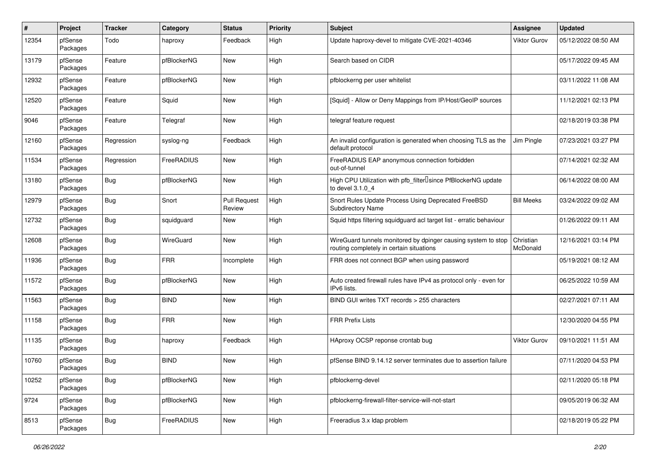| #     | Project             | Tracker    | Category         | <b>Status</b>                 | <b>Priority</b> | <b>Subject</b>                                                                                            | Assignee              | <b>Updated</b>      |
|-------|---------------------|------------|------------------|-------------------------------|-----------------|-----------------------------------------------------------------------------------------------------------|-----------------------|---------------------|
| 12354 | pfSense<br>Packages | Todo       | haproxy          | Feedback                      | High            | Update haproxy-devel to mitigate CVE-2021-40346                                                           | <b>Viktor Gurov</b>   | 05/12/2022 08:50 AM |
| 13179 | pfSense<br>Packages | Feature    | pfBlockerNG      | New                           | High            | Search based on CIDR                                                                                      |                       | 05/17/2022 09:45 AM |
| 12932 | pfSense<br>Packages | Feature    | pfBlockerNG      | New                           | High            | pfblockerng per user whitelist                                                                            |                       | 03/11/2022 11:08 AM |
| 12520 | pfSense<br>Packages | Feature    | Squid            | <b>New</b>                    | High            | [Squid] - Allow or Deny Mappings from IP/Host/GeoIP sources                                               |                       | 11/12/2021 02:13 PM |
| 9046  | pfSense<br>Packages | Feature    | Telegraf         | New                           | High            | telegraf feature request                                                                                  |                       | 02/18/2019 03:38 PM |
| 12160 | pfSense<br>Packages | Regression | syslog-ng        | Feedback                      | High            | An invalid configuration is generated when choosing TLS as the<br>default protocol                        | Jim Pingle            | 07/23/2021 03:27 PM |
| 11534 | pfSense<br>Packages | Regression | FreeRADIUS       | New                           | High            | FreeRADIUS EAP anonymous connection forbidden<br>out-of-tunnel                                            |                       | 07/14/2021 02:32 AM |
| 13180 | pfSense<br>Packages | Bug        | pfBlockerNG      | New                           | High            | High CPU Utilization with pfb filter Isince PfBlockerNG update<br>to devel 3.1.0 4                        |                       | 06/14/2022 08:00 AM |
| 12979 | pfSense<br>Packages | Bug        | Snort            | <b>Pull Request</b><br>Review | High            | Snort Rules Update Process Using Deprecated FreeBSD<br>Subdirectory Name                                  | <b>Bill Meeks</b>     | 03/24/2022 09:02 AM |
| 12732 | pfSense<br>Packages | Bug        | squidguard       | New                           | High            | Squid https filtering squidguard acl target list - erratic behaviour                                      |                       | 01/26/2022 09:11 AM |
| 12608 | pfSense<br>Packages | <b>Bug</b> | <b>WireGuard</b> | <b>New</b>                    | High            | WireGuard tunnels monitored by dpinger causing system to stop<br>routing completely in certain situations | Christian<br>McDonald | 12/16/2021 03:14 PM |
| 11936 | pfSense<br>Packages | Bug        | <b>FRR</b>       | Incomplete                    | High            | FRR does not connect BGP when using password                                                              |                       | 05/19/2021 08:12 AM |
| 11572 | pfSense<br>Packages | Bug        | pfBlockerNG      | New                           | High            | Auto created firewall rules have IPv4 as protocol only - even for<br>IPv6 lists.                          |                       | 06/25/2022 10:59 AM |
| 11563 | pfSense<br>Packages | <b>Bug</b> | <b>BIND</b>      | New                           | High            | BIND GUI writes TXT records > 255 characters                                                              |                       | 02/27/2021 07:11 AM |
| 11158 | pfSense<br>Packages | Bug        | <b>FRR</b>       | New                           | High            | <b>FRR Prefix Lists</b>                                                                                   |                       | 12/30/2020 04:55 PM |
| 11135 | pfSense<br>Packages | <b>Bug</b> | haproxy          | Feedback                      | High            | HAproxy OCSP reponse crontab bug                                                                          | <b>Viktor Gurov</b>   | 09/10/2021 11:51 AM |
| 10760 | pfSense<br>Packages | <b>Bug</b> | <b>BIND</b>      | New                           | High            | pfSense BIND 9.14.12 server terminates due to assertion failure                                           |                       | 07/11/2020 04:53 PM |
| 10252 | pfSense<br>Packages | <b>Bug</b> | pfBlockerNG      | New                           | High            | pfblockerng-devel                                                                                         |                       | 02/11/2020 05:18 PM |
| 9724  | pfSense<br>Packages | Bug        | pfBlockerNG      | New                           | High            | pfblockerng-firewall-filter-service-will-not-start                                                        |                       | 09/05/2019 06:32 AM |
| 8513  | pfSense<br>Packages | <b>Bug</b> | FreeRADIUS       | New                           | High            | Freeradius 3.x Idap problem                                                                               |                       | 02/18/2019 05:22 PM |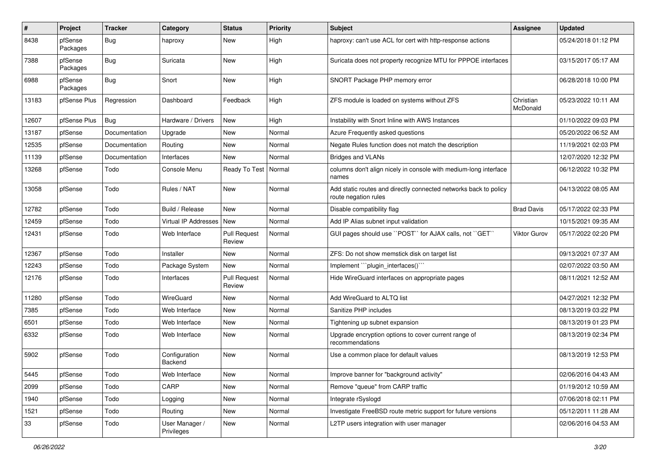| ∦     | Project             | <b>Tracker</b> | Category                     | <b>Status</b>                 | <b>Priority</b> | <b>Subject</b>                                                                           | Assignee              | <b>Updated</b>      |
|-------|---------------------|----------------|------------------------------|-------------------------------|-----------------|------------------------------------------------------------------------------------------|-----------------------|---------------------|
| 8438  | pfSense<br>Packages | Bug            | haproxy                      | New                           | High            | haproxy: can't use ACL for cert with http-response actions                               |                       | 05/24/2018 01:12 PM |
| 7388  | pfSense<br>Packages | Bug            | Suricata                     | <b>New</b>                    | High            | Suricata does not property recognize MTU for PPPOE interfaces                            |                       | 03/15/2017 05:17 AM |
| 6988  | pfSense<br>Packages | <b>Bug</b>     | Snort                        | <b>New</b>                    | High            | SNORT Package PHP memory error                                                           |                       | 06/28/2018 10:00 PM |
| 13183 | pfSense Plus        | Regression     | Dashboard                    | Feedback                      | High            | ZFS module is loaded on systems without ZFS                                              | Christian<br>McDonald | 05/23/2022 10:11 AM |
| 12607 | pfSense Plus        | Bug            | Hardware / Drivers           | <b>New</b>                    | High            | Instability with Snort Inline with AWS Instances                                         |                       | 01/10/2022 09:03 PM |
| 13187 | pfSense             | Documentation  | Upgrade                      | <b>New</b>                    | Normal          | Azure Frequently asked questions                                                         |                       | 05/20/2022 06:52 AM |
| 12535 | pfSense             | Documentation  | Routing                      | New                           | Normal          | Negate Rules function does not match the description                                     |                       | 11/19/2021 02:03 PM |
| 11139 | pfSense             | Documentation  | Interfaces                   | New                           | Normal          | <b>Bridges and VLANs</b>                                                                 |                       | 12/07/2020 12:32 PM |
| 13268 | pfSense             | Todo           | Console Menu                 | Ready To Test   Normal        |                 | columns don't align nicely in console with medium-long interface<br>names                |                       | 06/12/2022 10:32 PM |
| 13058 | pfSense             | Todo           | Rules / NAT                  | New                           | Normal          | Add static routes and directly connected networks back to policy<br>route negation rules |                       | 04/13/2022 08:05 AM |
| 12782 | pfSense             | Todo           | Build / Release              | <b>New</b>                    | Normal          | Disable compatibility flag                                                               | <b>Brad Davis</b>     | 05/17/2022 02:33 PM |
| 12459 | pfSense             | Todo           | Virtual IP Addresses         | New                           | Normal          | Add IP Alias subnet input validation                                                     |                       | 10/15/2021 09:35 AM |
| 12431 | pfSense             | Todo           | Web Interface                | <b>Pull Request</b><br>Review | Normal          | GUI pages should use "POST" for AJAX calls, not "GET"                                    | <b>Viktor Gurov</b>   | 05/17/2022 02:20 PM |
| 12367 | pfSense             | Todo           | Installer                    | <b>New</b>                    | Normal          | ZFS: Do not show memstick disk on target list                                            |                       | 09/13/2021 07:37 AM |
| 12243 | pfSense             | Todo           | Package System               | <b>New</b>                    | Normal          | Implement "``plugin_interfaces()```                                                      |                       | 02/07/2022 03:50 AM |
| 12176 | pfSense             | Todo           | Interfaces                   | <b>Pull Request</b><br>Review | Normal          | Hide WireGuard interfaces on appropriate pages                                           |                       | 08/11/2021 12:52 AM |
| 11280 | pfSense             | Todo           | WireGuard                    | New                           | Normal          | Add WireGuard to ALTQ list                                                               |                       | 04/27/2021 12:32 PM |
| 7385  | pfSense             | Todo           | Web Interface                | <b>New</b>                    | Normal          | Sanitize PHP includes                                                                    |                       | 08/13/2019 03:22 PM |
| 6501  | pfSense             | Todo           | Web Interface                | New                           | Normal          | Tightening up subnet expansion                                                           |                       | 08/13/2019 01:23 PM |
| 6332  | pfSense             | Todo           | Web Interface                | <b>New</b>                    | Normal          | Upgrade encryption options to cover current range of<br>recommendations                  |                       | 08/13/2019 02:34 PM |
| 5902  | pfSense             | Todo           | Configuration<br>Backend     | New                           | Normal          | Use a common place for default values                                                    |                       | 08/13/2019 12:53 PM |
| 5445  | pfSense             | Todo           | Web Interface                | New                           | Normal          | Improve banner for "background activity"                                                 |                       | 02/06/2016 04:43 AM |
| 2099  | pfSense             | Todo           | CARP                         | New                           | Normal          | Remove "queue" from CARP traffic                                                         |                       | 01/19/2012 10:59 AM |
| 1940  | pfSense             | Todo           | Logging                      | New                           | Normal          | Integrate rSyslogd                                                                       |                       | 07/06/2018 02:11 PM |
| 1521  | pfSense             | Todo           | Routing                      | New                           | Normal          | Investigate FreeBSD route metric support for future versions                             |                       | 05/12/2011 11:28 AM |
| 33    | pfSense             | Todo           | User Manager /<br>Privileges | New                           | Normal          | L2TP users integration with user manager                                                 |                       | 02/06/2016 04:53 AM |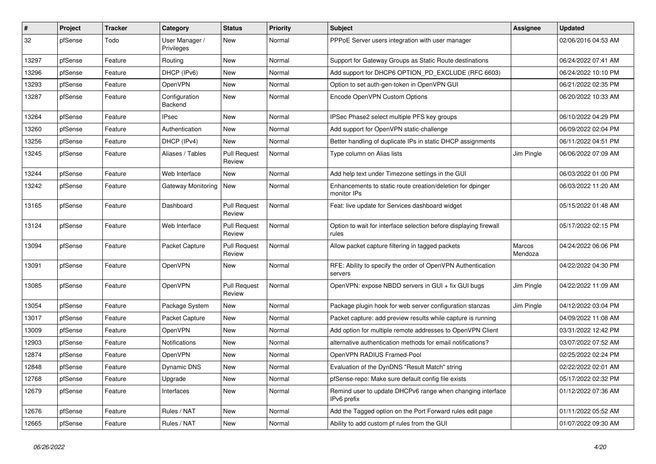| #     | Project | <b>Tracker</b> | Category                     | <b>Status</b>                 | <b>Priority</b> | <b>Subject</b>                                                             | Assignee          | <b>Updated</b>      |
|-------|---------|----------------|------------------------------|-------------------------------|-----------------|----------------------------------------------------------------------------|-------------------|---------------------|
| 32    | pfSense | Todo           | User Manager /<br>Privileges | <b>New</b>                    | Normal          | PPPoE Server users integration with user manager                           |                   | 02/06/2016 04:53 AM |
| 13297 | pfSense | Feature        | Routing                      | <b>New</b>                    | Normal          | Support for Gateway Groups as Static Route destinations                    |                   | 06/24/2022 07:41 AM |
| 13296 | pfSense | Feature        | DHCP (IPv6)                  | <b>New</b>                    | Normal          | Add support for DHCP6 OPTION_PD_EXCLUDE (RFC 6603)                         |                   | 06/24/2022 10:10 PM |
| 13293 | pfSense | Feature        | OpenVPN                      | <b>New</b>                    | Normal          | Option to set auth-gen-token in OpenVPN GUI                                |                   | 06/21/2022 02:35 PM |
| 13287 | pfSense | Feature        | Configuration<br>Backend     | New                           | Normal          | Encode OpenVPN Custom Options                                              |                   | 06/20/2022 10:33 AM |
| 13264 | pfSense | Feature        | <b>IPsec</b>                 | <b>New</b>                    | Normal          | IPSec Phase2 select multiple PFS key groups                                |                   | 06/10/2022 04:29 PM |
| 13260 | pfSense | Feature        | Authentication               | <b>New</b>                    | Normal          | Add support for OpenVPN static-challenge                                   |                   | 06/09/2022 02:04 PM |
| 13256 | pfSense | Feature        | DHCP (IPv4)                  | <b>New</b>                    | Normal          | Better handling of duplicate IPs in static DHCP assignments                |                   | 06/11/2022 04:51 PM |
| 13245 | pfSense | Feature        | Aliases / Tables             | <b>Pull Request</b><br>Review | Normal          | Type column on Alias lists                                                 | Jim Pingle        | 06/06/2022 07:09 AM |
| 13244 | pfSense | Feature        | Web Interface                | New                           | Normal          | Add help text under Timezone settings in the GUI                           |                   | 06/03/2022 01:00 PM |
| 13242 | pfSense | Feature        | Gateway Monitoring           | New                           | Normal          | Enhancements to static route creation/deletion for dpinger<br>monitor IPs  |                   | 06/03/2022 11:20 AM |
| 13165 | pfSense | Feature        | Dashboard                    | <b>Pull Request</b><br>Review | Normal          | Feat: live update for Services dashboard widget                            |                   | 05/15/2022 01:48 AM |
| 13124 | pfSense | Feature        | Web Interface                | <b>Pull Request</b><br>Review | Normal          | Option to wait for interface selection before displaying firewall<br>rules |                   | 05/17/2022 02:15 PM |
| 13094 | pfSense | Feature        | Packet Capture               | <b>Pull Request</b><br>Review | Normal          | Allow packet capture filtering in tagged packets                           | Marcos<br>Mendoza | 04/24/2022 06:06 PM |
| 13091 | pfSense | Feature        | OpenVPN                      | New                           | Normal          | RFE: Ability to specify the order of OpenVPN Authentication<br>servers     |                   | 04/22/2022 04:30 PM |
| 13085 | pfSense | Feature        | OpenVPN                      | <b>Pull Request</b><br>Review | Normal          | OpenVPN: expose NBDD servers in GUI + fix GUI bugs                         | Jim Pingle        | 04/22/2022 11:09 AM |
| 13054 | pfSense | Feature        | Package System               | <b>New</b>                    | Normal          | Package plugin hook for web server configuration stanzas                   | Jim Pingle        | 04/12/2022 03:04 PM |
| 13017 | pfSense | Feature        | Packet Capture               | <b>New</b>                    | Normal          | Packet capture: add preview results while capture is running               |                   | 04/09/2022 11:08 AM |
| 13009 | pfSense | Feature        | OpenVPN                      | <b>New</b>                    | Normal          | Add option for multiple remote addresses to OpenVPN Client                 |                   | 03/31/2022 12:42 PM |
| 12903 | pfSense | Feature        | <b>Notifications</b>         | <b>New</b>                    | Normal          | alternative authentication methods for email notifications?                |                   | 03/07/2022 07:52 AM |
| 12874 | pfSense | Feature        | <b>OpenVPN</b>               | <b>New</b>                    | Normal          | OpenVPN RADIUS Framed-Pool                                                 |                   | 02/25/2022 02:24 PM |
| 12848 | pfSense | Feature        | Dynamic DNS                  | <b>New</b>                    | Normal          | Evaluation of the DynDNS "Result Match" string                             |                   | 02/22/2022 02:01 AM |
| 12768 | pfSense | Feature        | Upgrade                      | <b>New</b>                    | Normal          | pfSense-repo: Make sure default config file exists                         |                   | 05/17/2022 02:32 PM |
| 12679 | pfSense | Feature        | Interfaces                   | <b>New</b>                    | Normal          | Remind user to update DHCPv6 range when changing interface<br>IPv6 prefix  |                   | 01/12/2022 07:36 AM |
| 12676 | pfSense | Feature        | Rules / NAT                  | <b>New</b>                    | Normal          | Add the Tagged option on the Port Forward rules edit page                  |                   | 01/11/2022 05:52 AM |
| 12665 | pfSense | Feature        | Rules / NAT                  | <b>New</b>                    | Normal          | Ability to add custom pf rules from the GUI                                |                   | 01/07/2022 09:30 AM |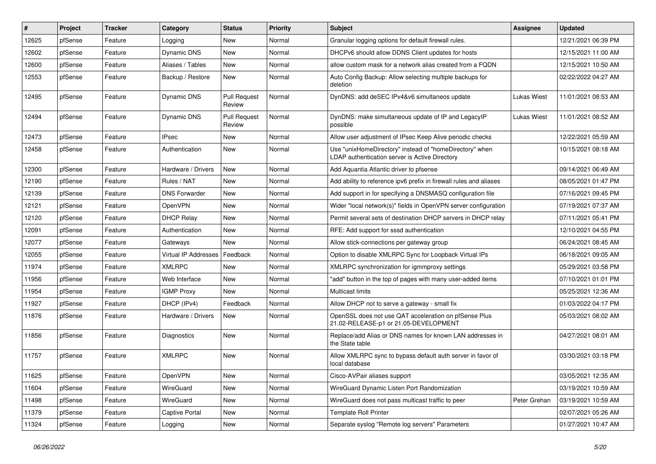| $\vert$ # | Project | <b>Tracker</b> | Category             | <b>Status</b>                 | <b>Priority</b> | Subject                                                                                                   | Assignee           | <b>Updated</b>      |
|-----------|---------|----------------|----------------------|-------------------------------|-----------------|-----------------------------------------------------------------------------------------------------------|--------------------|---------------------|
| 12625     | pfSense | Feature        | Logging              | New                           | Normal          | Granular logging options for default firewall rules.                                                      |                    | 12/21/2021 06:39 PM |
| 12602     | pfSense | Feature        | Dynamic DNS          | <b>New</b>                    | Normal          | DHCPv6 should allow DDNS Client updates for hosts                                                         |                    | 12/15/2021 11:00 AM |
| 12600     | pfSense | Feature        | Aliases / Tables     | New                           | Normal          | allow custom mask for a network alias created from a FQDN                                                 |                    | 12/15/2021 10:50 AM |
| 12553     | pfSense | Feature        | Backup / Restore     | New                           | Normal          | Auto Config Backup: Allow selecting multiple backups for<br>deletion                                      |                    | 02/22/2022 04:27 AM |
| 12495     | pfSense | Feature        | Dynamic DNS          | <b>Pull Request</b><br>Review | Normal          | DynDNS: add deSEC IPv4&v6 simultaneos update                                                              | <b>Lukas Wiest</b> | 11/01/2021 08:53 AM |
| 12494     | pfSense | Feature        | Dynamic DNS          | <b>Pull Request</b><br>Review | Normal          | DynDNS: make simultaneous update of IP and LegacyIP<br>possible                                           | Lukas Wiest        | 11/01/2021 08:52 AM |
| 12473     | pfSense | Feature        | <b>IPsec</b>         | <b>New</b>                    | Normal          | Allow user adjustment of IPsec Keep Alive periodic checks                                                 |                    | 12/22/2021 05:59 AM |
| 12458     | pfSense | Feature        | Authentication       | New                           | Normal          | Use "unixHomeDirectory" instead of "homeDirectory" when<br>LDAP authentication server is Active Directory |                    | 10/15/2021 08:18 AM |
| 12300     | pfSense | Feature        | Hardware / Drivers   | <b>New</b>                    | Normal          | Add Aquantia Atlantic driver to pfsense                                                                   |                    | 09/14/2021 06:49 AM |
| 12190     | pfSense | Feature        | Rules / NAT          | New                           | Normal          | Add ability to reference ipv6 prefix in firewall rules and aliases                                        |                    | 08/05/2021 01:47 PM |
| 12139     | pfSense | Feature        | <b>DNS Forwarder</b> | <b>New</b>                    | Normal          | Add support in for specifying a DNSMASQ configuration file                                                |                    | 07/16/2021 09:45 PM |
| 12121     | pfSense | Feature        | OpenVPN              | <b>New</b>                    | Normal          | Wider "local network(s)" fields in OpenVPN server configuration                                           |                    | 07/19/2021 07:37 AM |
| 12120     | pfSense | Feature        | <b>DHCP Relay</b>    | New                           | Normal          | Permit several sets of destination DHCP servers in DHCP relay                                             |                    | 07/11/2021 05:41 PM |
| 12091     | pfSense | Feature        | Authentication       | New                           | Normal          | RFE: Add support for sssd authentication                                                                  |                    | 12/10/2021 04:55 PM |
| 12077     | pfSense | Feature        | Gateways             | New                           | Normal          | Allow stick-connections per gateway group                                                                 |                    | 06/24/2021 08:45 AM |
| 12055     | pfSense | Feature        | Virtual IP Addresses | Feedback                      | Normal          | Option to disable XMLRPC Sync for Loopback Virtual IPs                                                    |                    | 06/18/2021 09:05 AM |
| 11974     | pfSense | Feature        | <b>XMLRPC</b>        | <b>New</b>                    | Normal          | XMLRPC synchronization for igmmproxy settings                                                             |                    | 05/29/2021 03:58 PM |
| 11956     | pfSense | Feature        | Web Interface        | New                           | Normal          | "add" button in the top of pages with many user-added items                                               |                    | 07/10/2021 01:01 PM |
| 11954     | pfSense | Feature        | <b>IGMP Proxy</b>    | New                           | Normal          | <b>Multicast limits</b>                                                                                   |                    | 05/25/2021 12:36 AM |
| 11927     | pfSense | Feature        | DHCP (IPv4)          | Feedback                      | Normal          | Allow DHCP not to serve a gateway - small fix                                                             |                    | 01/03/2022 04:17 PM |
| 11876     | pfSense | Feature        | Hardware / Drivers   | New                           | Normal          | OpenSSL does not use QAT acceleration on pfSense Plus<br>21.02-RELEASE-p1 or 21.05-DEVELOPMENT            |                    | 05/03/2021 08:02 AM |
| 11856     | pfSense | Feature        | Diagnostics          | New                           | Normal          | Replace/add Alias or DNS names for known LAN addresses in<br>the State table                              |                    | 04/27/2021 08:01 AM |
| 11757     | pfSense | Feature        | <b>XMLRPC</b>        | <b>New</b>                    | Normal          | Allow XMLRPC sync to bypass default auth server in favor of<br>local database                             |                    | 03/30/2021 03:18 PM |
| 11625     | pfSense | Feature        | OpenVPN              | New                           | Normal          | Cisco-AVPair aliases support                                                                              |                    | 03/05/2021 12:35 AM |
| 11604     | pfSense | Feature        | WireGuard            | <b>New</b>                    | Normal          | WireGuard Dynamic Listen Port Randomization                                                               |                    | 03/19/2021 10:59 AM |
| 11498     | pfSense | Feature        | WireGuard            | New                           | Normal          | WireGuard does not pass multicast traffic to peer                                                         | Peter Grehan       | 03/19/2021 10:59 AM |
| 11379     | pfSense | Feature        | Captive Portal       | New                           | Normal          | <b>Template Roll Printer</b>                                                                              |                    | 02/07/2021 05:26 AM |
| 11324     | pfSense | Feature        | Logging              | New                           | Normal          | Separate syslog "Remote log servers" Parameters                                                           |                    | 01/27/2021 10:47 AM |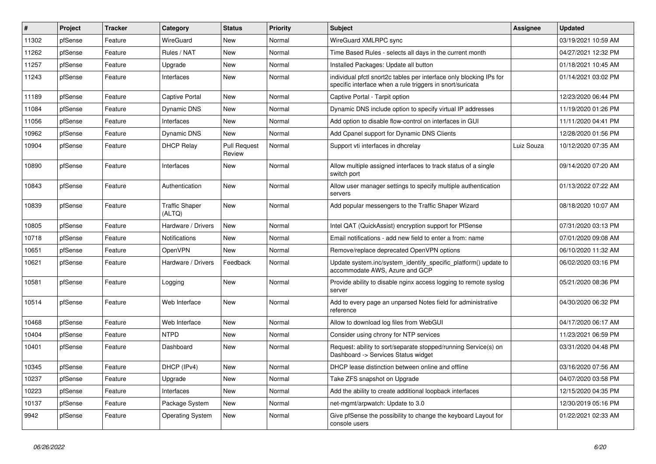| #     | Project | <b>Tracker</b> | Category                        | <b>Status</b>                 | <b>Priority</b> | <b>Subject</b>                                                                                                                   | Assignee   | <b>Updated</b>      |
|-------|---------|----------------|---------------------------------|-------------------------------|-----------------|----------------------------------------------------------------------------------------------------------------------------------|------------|---------------------|
| 11302 | pfSense | Feature        | WireGuard                       | <b>New</b>                    | Normal          | WireGuard XMLRPC sync                                                                                                            |            | 03/19/2021 10:59 AM |
| 11262 | pfSense | Feature        | Rules / NAT                     | <b>New</b>                    | Normal          | Time Based Rules - selects all days in the current month                                                                         |            | 04/27/2021 12:32 PM |
| 11257 | pfSense | Feature        | Upgrade                         | <b>New</b>                    | Normal          | Installed Packages: Update all button                                                                                            |            | 01/18/2021 10:45 AM |
| 11243 | pfSense | Feature        | Interfaces                      | <b>New</b>                    | Normal          | individual pfctl snort2c tables per interface only blocking IPs for<br>specific interface when a rule triggers in snort/suricata |            | 01/14/2021 03:02 PM |
| 11189 | pfSense | Feature        | <b>Captive Portal</b>           | <b>New</b>                    | Normal          | Captive Portal - Tarpit option                                                                                                   |            | 12/23/2020 06:44 PM |
| 11084 | pfSense | Feature        | Dynamic DNS                     | New                           | Normal          | Dynamic DNS include option to specify virtual IP addresses                                                                       |            | 11/19/2020 01:26 PM |
| 11056 | pfSense | Feature        | Interfaces                      | <b>New</b>                    | Normal          | Add option to disable flow-control on interfaces in GUI                                                                          |            | 11/11/2020 04:41 PM |
| 10962 | pfSense | Feature        | Dynamic DNS                     | <b>New</b>                    | Normal          | Add Cpanel support for Dynamic DNS Clients                                                                                       |            | 12/28/2020 01:56 PM |
| 10904 | pfSense | Feature        | <b>DHCP Relay</b>               | <b>Pull Request</b><br>Review | Normal          | Support vti interfaces in dhcrelay                                                                                               | Luiz Souza | 10/12/2020 07:35 AM |
| 10890 | pfSense | Feature        | Interfaces                      | <b>New</b>                    | Normal          | Allow multiple assigned interfaces to track status of a single<br>switch port                                                    |            | 09/14/2020 07:20 AM |
| 10843 | pfSense | Feature        | Authentication                  | <b>New</b>                    | Normal          | Allow user manager settings to specify multiple authentication<br>servers                                                        |            | 01/13/2022 07:22 AM |
| 10839 | pfSense | Feature        | <b>Traffic Shaper</b><br>(ALTQ) | New                           | Normal          | Add popular messengers to the Traffic Shaper Wizard                                                                              |            | 08/18/2020 10:07 AM |
| 10805 | pfSense | Feature        | Hardware / Drivers              | <b>New</b>                    | Normal          | Intel QAT (QuickAssist) encryption support for PfSense                                                                           |            | 07/31/2020 03:13 PM |
| 10718 | pfSense | Feature        | Notifications                   | <b>New</b>                    | Normal          | Email notifications - add new field to enter a from: name                                                                        |            | 07/01/2020 09:08 AM |
| 10651 | pfSense | Feature        | OpenVPN                         | <b>New</b>                    | Normal          | Remove/replace deprecated OpenVPN options                                                                                        |            | 06/10/2020 11:32 AM |
| 10621 | pfSense | Feature        | Hardware / Drivers              | Feedback                      | Normal          | Update system.inc/system identify specific platform() update to<br>accommodate AWS, Azure and GCP                                |            | 06/02/2020 03:16 PM |
| 10581 | pfSense | Feature        | Logging                         | <b>New</b>                    | Normal          | Provide ability to disable nginx access logging to remote syslog<br>server                                                       |            | 05/21/2020 08:36 PM |
| 10514 | pfSense | Feature        | Web Interface                   | <b>New</b>                    | Normal          | Add to every page an unparsed Notes field for administrative<br>reference                                                        |            | 04/30/2020 06:32 PM |
| 10468 | pfSense | Feature        | Web Interface                   | <b>New</b>                    | Normal          | Allow to download log files from WebGUI                                                                                          |            | 04/17/2020 06:17 AM |
| 10404 | pfSense | Feature        | <b>NTPD</b>                     | <b>New</b>                    | Normal          | Consider using chrony for NTP services                                                                                           |            | 11/23/2021 06:59 PM |
| 10401 | pfSense | Feature        | Dashboard                       | New                           | Normal          | Request: ability to sort/separate stopped/running Service(s) on<br>Dashboard -> Services Status widget                           |            | 03/31/2020 04:48 PM |
| 10345 | pfSense | Feature        | DHCP (IPv4)                     | <b>New</b>                    | Normal          | DHCP lease distinction between online and offline                                                                                |            | 03/16/2020 07:56 AM |
| 10237 | pfSense | Feature        | Upgrade                         | <b>New</b>                    | Normal          | Take ZFS snapshot on Upgrade                                                                                                     |            | 04/07/2020 03:58 PM |
| 10223 | pfSense | Feature        | Interfaces                      | New                           | Normal          | Add the ability to create additional loopback interfaces                                                                         |            | 12/15/2020 04:35 PM |
| 10137 | pfSense | Feature        | Package System                  | New                           | Normal          | net-mgmt/arpwatch: Update to 3.0                                                                                                 |            | 12/30/2019 05:16 PM |
| 9942  | pfSense | Feature        | <b>Operating System</b>         | <b>New</b>                    | Normal          | Give pfSense the possibility to change the keyboard Layout for<br>console users                                                  |            | 01/22/2021 02:33 AM |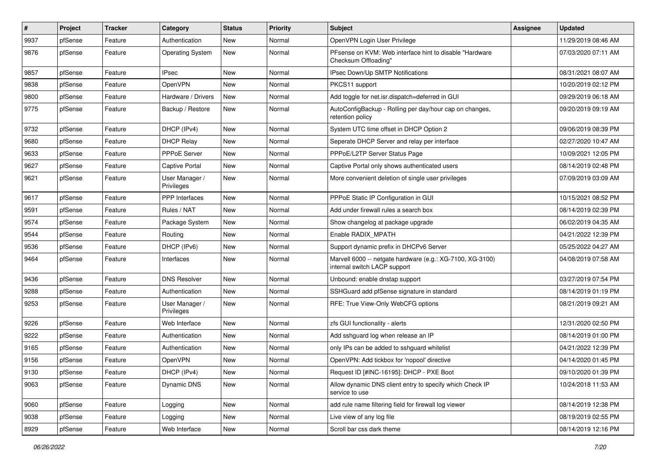| #    | Project | <b>Tracker</b> | Category                     | <b>Status</b> | <b>Priority</b> | Subject                                                                                   | Assignee | <b>Updated</b>      |
|------|---------|----------------|------------------------------|---------------|-----------------|-------------------------------------------------------------------------------------------|----------|---------------------|
| 9937 | pfSense | Feature        | Authentication               | New           | Normal          | OpenVPN Login User Privilege                                                              |          | 11/29/2019 08:46 AM |
| 9876 | pfSense | Feature        | <b>Operating System</b>      | <b>New</b>    | Normal          | PFsense on KVM: Web interface hint to disable "Hardware"<br>Checksum Offloading"          |          | 07/03/2020 07:11 AM |
| 9857 | pfSense | Feature        | <b>IPsec</b>                 | <b>New</b>    | Normal          | IPsec Down/Up SMTP Notifications                                                          |          | 08/31/2021 08:07 AM |
| 9838 | pfSense | Feature        | OpenVPN                      | <b>New</b>    | Normal          | PKCS11 support                                                                            |          | 10/20/2019 02:12 PM |
| 9800 | pfSense | Feature        | Hardware / Drivers           | <b>New</b>    | Normal          | Add toggle for net.isr.dispatch=deferred in GUI                                           |          | 09/29/2019 06:18 AM |
| 9775 | pfSense | Feature        | Backup / Restore             | New           | Normal          | AutoConfigBackup - Rolling per day/hour cap on changes,<br>retention policy               |          | 09/20/2019 09:19 AM |
| 9732 | pfSense | Feature        | DHCP (IPv4)                  | <b>New</b>    | Normal          | System UTC time offset in DHCP Option 2                                                   |          | 09/06/2019 08:39 PM |
| 9680 | pfSense | Feature        | <b>DHCP Relay</b>            | <b>New</b>    | Normal          | Seperate DHCP Server and relay per interface                                              |          | 02/27/2020 10:47 AM |
| 9633 | pfSense | Feature        | PPPoE Server                 | New           | Normal          | PPPoE/L2TP Server Status Page                                                             |          | 10/09/2021 12:05 PM |
| 9627 | pfSense | Feature        | <b>Captive Portal</b>        | New           | Normal          | Captive Portal only shows authenticated users                                             |          | 08/14/2019 02:48 PM |
| 9621 | pfSense | Feature        | User Manager /<br>Privileges | New           | Normal          | More convenient deletion of single user privileges                                        |          | 07/09/2019 03:09 AM |
| 9617 | pfSense | Feature        | <b>PPP</b> Interfaces        | <b>New</b>    | Normal          | PPPoE Static IP Configuration in GUI                                                      |          | 10/15/2021 08:52 PM |
| 9591 | pfSense | Feature        | Rules / NAT                  | <b>New</b>    | Normal          | Add under firewall rules a search box                                                     |          | 08/14/2019 02:39 PM |
| 9574 | pfSense | Feature        | Package System               | <b>New</b>    | Normal          | Show changelog at package upgrade                                                         |          | 06/02/2019 04:35 AM |
| 9544 | pfSense | Feature        | Routing                      | <b>New</b>    | Normal          | Enable RADIX_MPATH                                                                        |          | 04/21/2022 12:39 PM |
| 9536 | pfSense | Feature        | DHCP (IPv6)                  | New           | Normal          | Support dynamic prefix in DHCPv6 Server                                                   |          | 05/25/2022 04:27 AM |
| 9464 | pfSense | Feature        | Interfaces                   | New           | Normal          | Marvell 6000 -- netgate hardware (e.g.: XG-7100, XG-3100)<br>internal switch LACP support |          | 04/08/2019 07:58 AM |
| 9436 | pfSense | Feature        | <b>DNS Resolver</b>          | <b>New</b>    | Normal          | Unbound: enable dnstap support                                                            |          | 03/27/2019 07:54 PM |
| 9288 | pfSense | Feature        | Authentication               | <b>New</b>    | Normal          | SSHGuard add pfSense signature in standard                                                |          | 08/14/2019 01:19 PM |
| 9253 | pfSense | Feature        | User Manager /<br>Privileges | New           | Normal          | RFE: True View-Only WebCFG options                                                        |          | 08/21/2019 09:21 AM |
| 9226 | pfSense | Feature        | Web Interface                | New           | Normal          | zfs GUI functionality - alerts                                                            |          | 12/31/2020 02:50 PM |
| 9222 | pfSense | Feature        | Authentication               | New           | Normal          | Add sshguard log when release an IP                                                       |          | 08/14/2019 01:00 PM |
| 9165 | pfSense | Feature        | Authentication               | New           | Normal          | only IPs can be added to sshguard whitelist                                               |          | 04/21/2022 12:39 PM |
| 9156 | pfSense | Feature        | OpenVPN                      | <b>New</b>    | Normal          | OpenVPN: Add tickbox for 'nopool' directive                                               |          | 04/14/2020 01:45 PM |
| 9130 | ptSense | Feature        | DHCP (IPv4)                  | New           | Normal          | Request ID [#INC-16195]: DHCP - PXE Boot                                                  |          | 09/10/2020 01:39 PM |
| 9063 | pfSense | Feature        | Dynamic DNS                  | New           | Normal          | Allow dynamic DNS client entry to specify which Check IP<br>service to use                |          | 10/24/2018 11:53 AM |
| 9060 | pfSense | Feature        | Logging                      | New           | Normal          | add rule name filtering field for firewall log viewer                                     |          | 08/14/2019 12:38 PM |
| 9038 | pfSense | Feature        | Logging                      | New           | Normal          | Live view of any log file                                                                 |          | 08/19/2019 02:55 PM |
| 8929 | pfSense | Feature        | Web Interface                | New           | Normal          | Scroll bar css dark theme                                                                 |          | 08/14/2019 12:16 PM |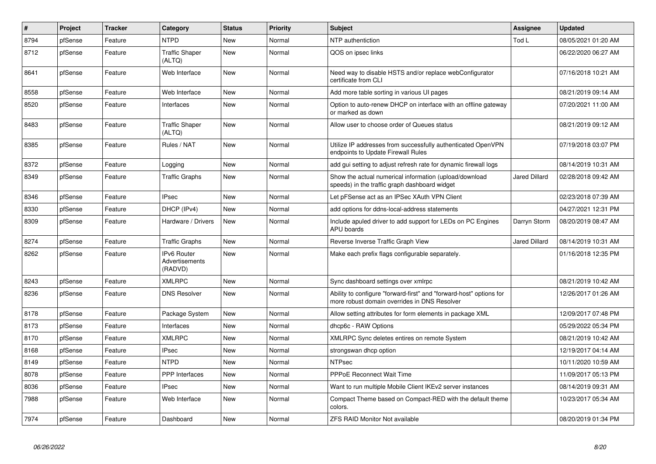| #    | <b>Project</b> | <b>Tracker</b> | Category                                        | <b>Status</b> | Priority | <b>Subject</b>                                                                                                      | Assignee             | <b>Updated</b>      |
|------|----------------|----------------|-------------------------------------------------|---------------|----------|---------------------------------------------------------------------------------------------------------------------|----------------------|---------------------|
| 8794 | pfSense        | Feature        | <b>NTPD</b>                                     | <b>New</b>    | Normal   | NTP authentiction                                                                                                   | Tod L                | 08/05/2021 01:20 AM |
| 8712 | pfSense        | Feature        | <b>Traffic Shaper</b><br>(ALTQ)                 | <b>New</b>    | Normal   | QOS on ipsec links                                                                                                  |                      | 06/22/2020 06:27 AM |
| 8641 | pfSense        | Feature        | Web Interface                                   | <b>New</b>    | Normal   | Need way to disable HSTS and/or replace webConfigurator<br>certificate from CLI                                     |                      | 07/16/2018 10:21 AM |
| 8558 | pfSense        | Feature        | Web Interface                                   | New           | Normal   | Add more table sorting in various UI pages                                                                          |                      | 08/21/2019 09:14 AM |
| 8520 | pfSense        | Feature        | Interfaces                                      | New           | Normal   | Option to auto-renew DHCP on interface with an offline gateway<br>or marked as down                                 |                      | 07/20/2021 11:00 AM |
| 8483 | pfSense        | Feature        | <b>Traffic Shaper</b><br>(ALTQ)                 | New           | Normal   | Allow user to choose order of Queues status                                                                         |                      | 08/21/2019 09:12 AM |
| 8385 | pfSense        | Feature        | Rules / NAT                                     | <b>New</b>    | Normal   | Utilize IP addresses from successfully authenticated OpenVPN<br>endpoints to Update Firewall Rules                  |                      | 07/19/2018 03:07 PM |
| 8372 | pfSense        | Feature        | Logging                                         | <b>New</b>    | Normal   | add gui setting to adjust refresh rate for dynamic firewall logs                                                    |                      | 08/14/2019 10:31 AM |
| 8349 | pfSense        | Feature        | <b>Traffic Graphs</b>                           | <b>New</b>    | Normal   | Show the actual numerical information (upload/download<br>speeds) in the traffic graph dashboard widget             | <b>Jared Dillard</b> | 02/28/2018 09:42 AM |
| 8346 | pfSense        | Feature        | <b>IPsec</b>                                    | <b>New</b>    | Normal   | Let pFSense act as an IPSec XAuth VPN Client                                                                        |                      | 02/23/2018 07:39 AM |
| 8330 | pfSense        | Feature        | DHCP (IPv4)                                     | <b>New</b>    | Normal   | add options for ddns-local-address statements                                                                       |                      | 04/27/2021 12:31 PM |
| 8309 | pfSense        | Feature        | Hardware / Drivers                              | <b>New</b>    | Normal   | Include apuled driver to add support for LEDs on PC Engines<br>APU boards                                           | Darryn Storm         | 08/20/2019 08:47 AM |
| 8274 | pfSense        | Feature        | <b>Traffic Graphs</b>                           | <b>New</b>    | Normal   | Reverse Inverse Traffic Graph View                                                                                  | <b>Jared Dillard</b> | 08/14/2019 10:31 AM |
| 8262 | pfSense        | Feature        | <b>IPv6 Router</b><br>Advertisements<br>(RADVD) | <b>New</b>    | Normal   | Make each prefix flags configurable separately.                                                                     |                      | 01/16/2018 12:35 PM |
| 8243 | pfSense        | Feature        | <b>XMLRPC</b>                                   | New           | Normal   | Sync dashboard settings over xmlrpc                                                                                 |                      | 08/21/2019 10:42 AM |
| 8236 | pfSense        | Feature        | <b>DNS Resolver</b>                             | <b>New</b>    | Normal   | Ability to configure "forward-first" and "forward-host" options for<br>more robust domain overrides in DNS Resolver |                      | 12/26/2017 01:26 AM |
| 8178 | pfSense        | Feature        | Package System                                  | New           | Normal   | Allow setting attributes for form elements in package XML                                                           |                      | 12/09/2017 07:48 PM |
| 8173 | pfSense        | Feature        | Interfaces                                      | <b>New</b>    | Normal   | dhcp6c - RAW Options                                                                                                |                      | 05/29/2022 05:34 PM |
| 8170 | pfSense        | Feature        | <b>XMLRPC</b>                                   | <b>New</b>    | Normal   | XMLRPC Sync deletes entires on remote System                                                                        |                      | 08/21/2019 10:42 AM |
| 8168 | pfSense        | Feature        | <b>IPsec</b>                                    | <b>New</b>    | Normal   | strongswan dhcp option                                                                                              |                      | 12/19/2017 04:14 AM |
| 8149 | pfSense        | Feature        | <b>NTPD</b>                                     | <b>New</b>    | Normal   | <b>NTPsec</b>                                                                                                       |                      | 10/11/2020 10:59 AM |
| 8078 | pfSense        | Feature        | <b>PPP</b> Interfaces                           | <b>New</b>    | Normal   | PPPoE Reconnect Wait Time                                                                                           |                      | 11/09/2017 05:13 PM |
| 8036 | pfSense        | Feature        | <b>IPsec</b>                                    | <b>New</b>    | Normal   | Want to run multiple Mobile Client IKEv2 server instances                                                           |                      | 08/14/2019 09:31 AM |
| 7988 | pfSense        | Feature        | Web Interface                                   | <b>New</b>    | Normal   | Compact Theme based on Compact-RED with the default theme<br>colors.                                                |                      | 10/23/2017 05:34 AM |
| 7974 | pfSense        | Feature        | Dashboard                                       | New           | Normal   | <b>ZFS RAID Monitor Not available</b>                                                                               |                      | 08/20/2019 01:34 PM |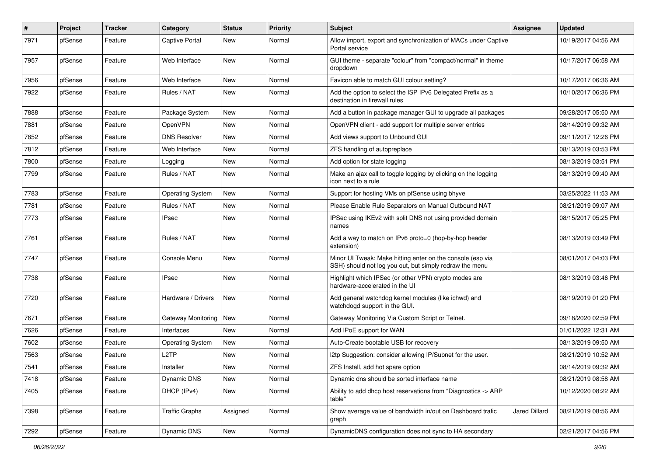| $\sharp$ | Project | <b>Tracker</b> | Category                | <b>Status</b> | <b>Priority</b> | <b>Subject</b>                                                                                                        | Assignee             | <b>Updated</b>      |
|----------|---------|----------------|-------------------------|---------------|-----------------|-----------------------------------------------------------------------------------------------------------------------|----------------------|---------------------|
| 7971     | pfSense | Feature        | <b>Captive Portal</b>   | New           | Normal          | Allow import, export and synchronization of MACs under Captive<br>Portal service                                      |                      | 10/19/2017 04:56 AM |
| 7957     | pfSense | Feature        | Web Interface           | <b>New</b>    | Normal          | GUI theme - separate "colour" from "compact/normal" in theme<br>dropdown                                              |                      | 10/17/2017 06:58 AM |
| 7956     | pfSense | Feature        | Web Interface           | <b>New</b>    | Normal          | Favicon able to match GUI colour setting?                                                                             |                      | 10/17/2017 06:36 AM |
| 7922     | pfSense | Feature        | Rules / NAT             | New           | Normal          | Add the option to select the ISP IPv6 Delegated Prefix as a<br>destination in firewall rules                          |                      | 10/10/2017 06:36 PM |
| 7888     | pfSense | Feature        | Package System          | <b>New</b>    | Normal          | Add a button in package manager GUI to upgrade all packages                                                           |                      | 09/28/2017 05:50 AM |
| 7881     | pfSense | Feature        | OpenVPN                 | New           | Normal          | OpenVPN client - add support for multiple server entries                                                              |                      | 08/14/2019 09:32 AM |
| 7852     | pfSense | Feature        | <b>DNS Resolver</b>     | <b>New</b>    | Normal          | Add views support to Unbound GUI                                                                                      |                      | 09/11/2017 12:26 PM |
| 7812     | pfSense | Feature        | Web Interface           | New           | Normal          | ZFS handling of autopreplace                                                                                          |                      | 08/13/2019 03:53 PM |
| 7800     | pfSense | Feature        | Logging                 | New           | Normal          | Add option for state logging                                                                                          |                      | 08/13/2019 03:51 PM |
| 7799     | pfSense | Feature        | Rules / NAT             | <b>New</b>    | Normal          | Make an ajax call to toggle logging by clicking on the logging<br>icon next to a rule                                 |                      | 08/13/2019 09:40 AM |
| 7783     | pfSense | Feature        | <b>Operating System</b> | <b>New</b>    | Normal          | Support for hosting VMs on pfSense using bhyve                                                                        |                      | 03/25/2022 11:53 AM |
| 7781     | pfSense | Feature        | Rules / NAT             | New           | Normal          | Please Enable Rule Separators on Manual Outbound NAT                                                                  |                      | 08/21/2019 09:07 AM |
| 7773     | pfSense | Feature        | <b>IPsec</b>            | <b>New</b>    | Normal          | IPSec using IKEv2 with split DNS not using provided domain<br>names                                                   |                      | 08/15/2017 05:25 PM |
| 7761     | pfSense | Feature        | Rules / NAT             | <b>New</b>    | Normal          | Add a way to match on IPv6 proto=0 (hop-by-hop header<br>extension)                                                   |                      | 08/13/2019 03:49 PM |
| 7747     | pfSense | Feature        | Console Menu            | <b>New</b>    | Normal          | Minor UI Tweak: Make hitting enter on the console (esp via<br>SSH) should not log you out, but simply redraw the menu |                      | 08/01/2017 04:03 PM |
| 7738     | pfSense | Feature        | IPsec                   | <b>New</b>    | Normal          | Highlight which IPSec (or other VPN) crypto modes are<br>hardware-accelerated in the UI                               |                      | 08/13/2019 03:46 PM |
| 7720     | pfSense | Feature        | Hardware / Drivers      | <b>New</b>    | Normal          | Add general watchdog kernel modules (like ichwd) and<br>watchdogd support in the GUI.                                 |                      | 08/19/2019 01:20 PM |
| 7671     | pfSense | Feature        | Gateway Monitoring      | <b>New</b>    | Normal          | Gateway Monitoring Via Custom Script or Telnet.                                                                       |                      | 09/18/2020 02:59 PM |
| 7626     | pfSense | Feature        | Interfaces              | <b>New</b>    | Normal          | Add IPoE support for WAN                                                                                              |                      | 01/01/2022 12:31 AM |
| 7602     | pfSense | Feature        | <b>Operating System</b> | <b>New</b>    | Normal          | Auto-Create bootable USB for recovery                                                                                 |                      | 08/13/2019 09:50 AM |
| 7563     | pfSense | Feature        | L <sub>2</sub> TP       | New           | Normal          | I2tp Suggestion: consider allowing IP/Subnet for the user.                                                            |                      | 08/21/2019 10:52 AM |
| 7541     | pfSense | Feature        | Installer               | New           | Normal          | ZFS Install, add hot spare option                                                                                     |                      | 08/14/2019 09:32 AM |
| 7418     | pfSense | Feature        | Dynamic DNS             | New           | Normal          | Dynamic dns should be sorted interface name                                                                           |                      | 08/21/2019 08:58 AM |
| 7405     | pfSense | Feature        | DHCP (IPv4)             | New           | Normal          | Ability to add dhcp host reservations from "Diagnostics -> ARP<br>table"                                              |                      | 10/12/2020 08:22 AM |
| 7398     | pfSense | Feature        | <b>Traffic Graphs</b>   | Assigned      | Normal          | Show average value of bandwidth in/out on Dashboard trafic<br>graph                                                   | <b>Jared Dillard</b> | 08/21/2019 08:56 AM |
| 7292     | pfSense | Feature        | Dynamic DNS             | New           | Normal          | DynamicDNS configuration does not sync to HA secondary                                                                |                      | 02/21/2017 04:56 PM |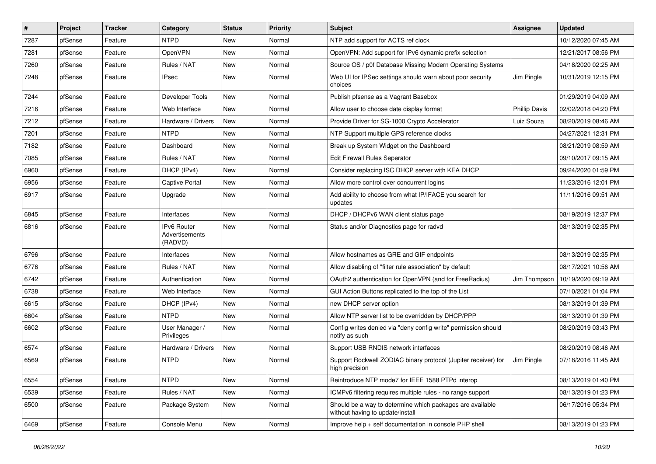| #    | Project | <b>Tracker</b> | Category                                 | <b>Status</b> | <b>Priority</b> | Subject                                                                                       | Assignee             | <b>Updated</b>      |
|------|---------|----------------|------------------------------------------|---------------|-----------------|-----------------------------------------------------------------------------------------------|----------------------|---------------------|
| 7287 | pfSense | Feature        | <b>NTPD</b>                              | New           | Normal          | NTP add support for ACTS ref clock                                                            |                      | 10/12/2020 07:45 AM |
| 7281 | pfSense | Feature        | OpenVPN                                  | New           | Normal          | OpenVPN: Add support for IPv6 dynamic prefix selection                                        |                      | 12/21/2017 08:56 PM |
| 7260 | pfSense | Feature        | Rules / NAT                              | New           | Normal          | Source OS / p0f Database Missing Modern Operating Systems                                     |                      | 04/18/2020 02:25 AM |
| 7248 | pfSense | Feature        | <b>IPsec</b>                             | <b>New</b>    | Normal          | Web UI for IPSec settings should warn about poor security<br>choices                          | Jim Pingle           | 10/31/2019 12:15 PM |
| 7244 | pfSense | Feature        | Developer Tools                          | New           | Normal          | Publish pfsense as a Vagrant Basebox                                                          |                      | 01/29/2019 04:09 AM |
| 7216 | pfSense | Feature        | Web Interface                            | New           | Normal          | Allow user to choose date display format                                                      | <b>Phillip Davis</b> | 02/02/2018 04:20 PM |
| 7212 | pfSense | Feature        | Hardware / Drivers                       | <b>New</b>    | Normal          | Provide Driver for SG-1000 Crypto Accelerator                                                 | Luiz Souza           | 08/20/2019 08:46 AM |
| 7201 | pfSense | Feature        | <b>NTPD</b>                              | New           | Normal          | NTP Support multiple GPS reference clocks                                                     |                      | 04/27/2021 12:31 PM |
| 7182 | pfSense | Feature        | Dashboard                                | <b>New</b>    | Normal          | Break up System Widget on the Dashboard                                                       |                      | 08/21/2019 08:59 AM |
| 7085 | pfSense | Feature        | Rules / NAT                              | New           | Normal          | <b>Edit Firewall Rules Seperator</b>                                                          |                      | 09/10/2017 09:15 AM |
| 6960 | pfSense | Feature        | DHCP (IPv4)                              | <b>New</b>    | Normal          | Consider replacing ISC DHCP server with KEA DHCP                                              |                      | 09/24/2020 01:59 PM |
| 6956 | pfSense | Feature        | <b>Captive Portal</b>                    | New           | Normal          | Allow more control over concurrent logins                                                     |                      | 11/23/2016 12:01 PM |
| 6917 | pfSense | Feature        | Upgrade                                  | New           | Normal          | Add ability to choose from what IP/IFACE you search for<br>updates                            |                      | 11/11/2016 09:51 AM |
| 6845 | pfSense | Feature        | Interfaces                               | <b>New</b>    | Normal          | DHCP / DHCPv6 WAN client status page                                                          |                      | 08/19/2019 12:37 PM |
| 6816 | pfSense | Feature        | IPv6 Router<br>Advertisements<br>(RADVD) | New           | Normal          | Status and/or Diagnostics page for radvd                                                      |                      | 08/13/2019 02:35 PM |
| 6796 | pfSense | Feature        | Interfaces                               | <b>New</b>    | Normal          | Allow hostnames as GRE and GIF endpoints                                                      |                      | 08/13/2019 02:35 PM |
| 6776 | pfSense | Feature        | Rules / NAT                              | New           | Normal          | Allow disabling of "filter rule association" by default                                       |                      | 08/17/2021 10:56 AM |
| 6742 | pfSense | Feature        | Authentication                           | <b>New</b>    | Normal          | OAuth2 authentication for OpenVPN (and for FreeRadius)                                        | Jim Thompson         | 10/19/2020 09:19 AM |
| 6738 | pfSense | Feature        | Web Interface                            | New           | Normal          | GUI Action Buttons replicated to the top of the List                                          |                      | 07/10/2021 01:04 PM |
| 6615 | pfSense | Feature        | DHCP (IPv4)                              | New           | Normal          | new DHCP server option                                                                        |                      | 08/13/2019 01:39 PM |
| 6604 | pfSense | Feature        | <b>NTPD</b>                              | New           | Normal          | Allow NTP server list to be overridden by DHCP/PPP                                            |                      | 08/13/2019 01:39 PM |
| 6602 | pfSense | Feature        | User Manager /<br>Privileges             | New           | Normal          | Config writes denied via "deny config write" permission should<br>notify as such              |                      | 08/20/2019 03:43 PM |
| 6574 | pfSense | Feature        | Hardware / Drivers                       | <b>New</b>    | Normal          | Support USB RNDIS network interfaces                                                          |                      | 08/20/2019 08:46 AM |
| 6569 | pfSense | Feature        | <b>NTPD</b>                              | <b>New</b>    | Normal          | Support Rockwell ZODIAC binary protocol (Jupiter receiver) for<br>high precision              | Jim Pingle           | 07/18/2016 11:45 AM |
| 6554 | pfSense | Feature        | <b>NTPD</b>                              | New           | Normal          | Reintroduce NTP mode7 for IEEE 1588 PTPd interop                                              |                      | 08/13/2019 01:40 PM |
| 6539 | pfSense | Feature        | Rules / NAT                              | New           | Normal          | ICMPv6 filtering requires multiple rules - no range support                                   |                      | 08/13/2019 01:23 PM |
| 6500 | pfSense | Feature        | Package System                           | New           | Normal          | Should be a way to determine which packages are available<br>without having to update/install |                      | 06/17/2016 05:34 PM |
| 6469 | pfSense | Feature        | Console Menu                             | New           | Normal          | Improve help + self documentation in console PHP shell                                        |                      | 08/13/2019 01:23 PM |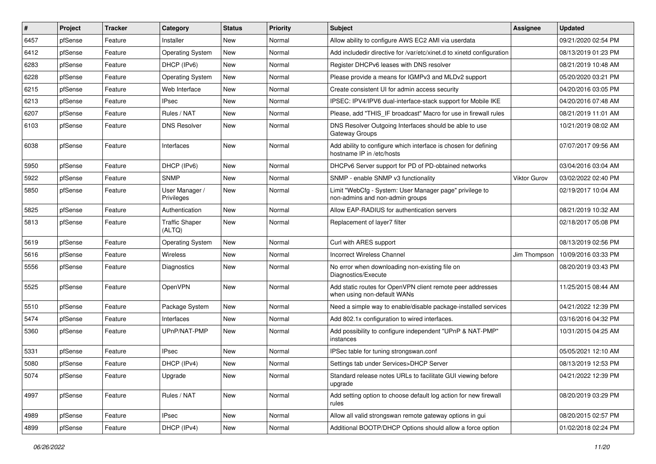| $\vert$ # | Project | <b>Tracker</b> | Category                        | <b>Status</b> | <b>Priority</b> | <b>Subject</b>                                                                               | <b>Assignee</b>     | <b>Updated</b>      |
|-----------|---------|----------------|---------------------------------|---------------|-----------------|----------------------------------------------------------------------------------------------|---------------------|---------------------|
| 6457      | pfSense | Feature        | Installer                       | <b>New</b>    | Normal          | Allow ability to configure AWS EC2 AMI via userdata                                          |                     | 09/21/2020 02:54 PM |
| 6412      | pfSense | Feature        | <b>Operating System</b>         | New           | Normal          | Add includedir directive for /var/etc/xinet.d to xinetd configuration                        |                     | 08/13/2019 01:23 PM |
| 6283      | pfSense | Feature        | DHCP (IPv6)                     | <b>New</b>    | Normal          | Register DHCPv6 leases with DNS resolver                                                     |                     | 08/21/2019 10:48 AM |
| 6228      | pfSense | Feature        | <b>Operating System</b>         | New           | Normal          | Please provide a means for IGMPv3 and MLDv2 support                                          |                     | 05/20/2020 03:21 PM |
| 6215      | pfSense | Feature        | Web Interface                   | <b>New</b>    | Normal          | Create consistent UI for admin access security                                               |                     | 04/20/2016 03:05 PM |
| 6213      | pfSense | Feature        | <b>IPsec</b>                    | New           | Normal          | IPSEC: IPV4/IPV6 dual-interface-stack support for Mobile IKE                                 |                     | 04/20/2016 07:48 AM |
| 6207      | pfSense | Feature        | Rules / NAT                     | New           | Normal          | Please, add "THIS IF broadcast" Macro for use in firewall rules                              |                     | 08/21/2019 11:01 AM |
| 6103      | pfSense | Feature        | <b>DNS Resolver</b>             | <b>New</b>    | Normal          | DNS Resolver Outgoing Interfaces should be able to use<br>Gateway Groups                     |                     | 10/21/2019 08:02 AM |
| 6038      | pfSense | Feature        | Interfaces                      | <b>New</b>    | Normal          | Add ability to configure which interface is chosen for defining<br>hostname IP in /etc/hosts |                     | 07/07/2017 09:56 AM |
| 5950      | pfSense | Feature        | DHCP (IPv6)                     | New           | Normal          | DHCPv6 Server support for PD of PD-obtained networks                                         |                     | 03/04/2016 03:04 AM |
| 5922      | pfSense | Feature        | <b>SNMP</b>                     | <b>New</b>    | Normal          | SNMP - enable SNMP v3 functionality                                                          | <b>Viktor Gurov</b> | 03/02/2022 02:40 PM |
| 5850      | pfSense | Feature        | User Manager /<br>Privileges    | New           | Normal          | Limit "WebCfg - System: User Manager page" privilege to<br>non-admins and non-admin groups   |                     | 02/19/2017 10:04 AM |
| 5825      | pfSense | Feature        | Authentication                  | New           | Normal          | Allow EAP-RADIUS for authentication servers                                                  |                     | 08/21/2019 10:32 AM |
| 5813      | pfSense | Feature        | <b>Traffic Shaper</b><br>(ALTQ) | <b>New</b>    | Normal          | Replacement of layer7 filter                                                                 |                     | 02/18/2017 05:08 PM |
| 5619      | pfSense | Feature        | <b>Operating System</b>         | <b>New</b>    | Normal          | Curl with ARES support                                                                       |                     | 08/13/2019 02:56 PM |
| 5616      | pfSense | Feature        | Wireless                        | New           | Normal          | <b>Incorrect Wireless Channel</b>                                                            | Jim Thompson        | 10/09/2016 03:33 PM |
| 5556      | pfSense | Feature        | Diagnostics                     | <b>New</b>    | Normal          | No error when downloading non-existing file on<br>Diagnostics/Execute                        |                     | 08/20/2019 03:43 PM |
| 5525      | pfSense | Feature        | OpenVPN                         | New           | Normal          | Add static routes for OpenVPN client remote peer addresses<br>when using non-default WANs    |                     | 11/25/2015 08:44 AM |
| 5510      | pfSense | Feature        | Package System                  | New           | Normal          | Need a simple way to enable/disable package-installed services                               |                     | 04/21/2022 12:39 PM |
| 5474      | pfSense | Feature        | Interfaces                      | New           | Normal          | Add 802.1x configuration to wired interfaces.                                                |                     | 03/16/2016 04:32 PM |
| 5360      | pfSense | Feature        | UPnP/NAT-PMP                    | New           | Normal          | Add possibility to configure independent "UPnP & NAT-PMP"<br>instances                       |                     | 10/31/2015 04:25 AM |
| 5331      | pfSense | Feature        | <b>IPsec</b>                    | <b>New</b>    | Normal          | IPSec table for tuning strongswan.conf                                                       |                     | 05/05/2021 12:10 AM |
| 5080      | pfSense | Feature        | DHCP (IPv4)                     | New           | Normal          | Settings tab under Services>DHCP Server                                                      |                     | 08/13/2019 12:53 PM |
| 5074      | pfSense | Feature        | Upgrade                         | New           | Normal          | Standard release notes URLs to facilitate GUI viewing before<br>upgrade                      |                     | 04/21/2022 12:39 PM |
| 4997      | pfSense | Feature        | Rules / NAT                     | New           | Normal          | Add setting option to choose default log action for new firewall<br>rules                    |                     | 08/20/2019 03:29 PM |
| 4989      | pfSense | Feature        | <b>IPsec</b>                    | New           | Normal          | Allow all valid strongswan remote gateway options in gui                                     |                     | 08/20/2015 02:57 PM |
| 4899      | pfSense | Feature        | DHCP (IPv4)                     | New           | Normal          | Additional BOOTP/DHCP Options should allow a force option                                    |                     | 01/02/2018 02:24 PM |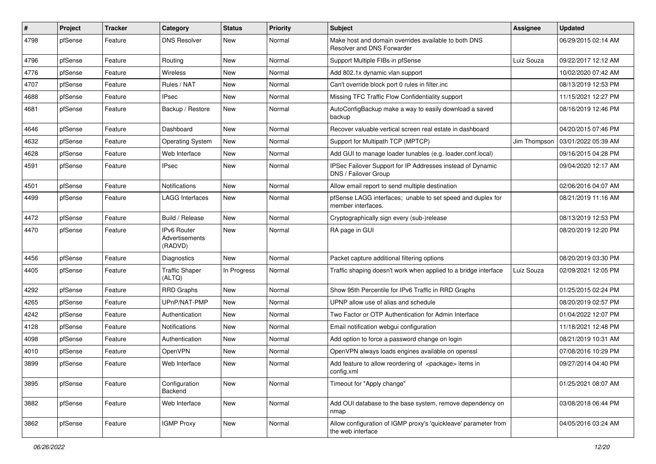| $\vert$ # | Project | <b>Tracker</b> | Category                                        | <b>Status</b> | <b>Priority</b> | Subject                                                                              | <b>Assignee</b> | <b>Updated</b>      |
|-----------|---------|----------------|-------------------------------------------------|---------------|-----------------|--------------------------------------------------------------------------------------|-----------------|---------------------|
| 4798      | pfSense | Feature        | <b>DNS Resolver</b>                             | New           | Normal          | Make host and domain overrides available to both DNS<br>Resolver and DNS Forwarder   |                 | 06/29/2015 02:14 AM |
| 4796      | pfSense | Feature        | Routing                                         | New           | Normal          | Support Multiple FIBs in pfSense                                                     | Luiz Souza      | 09/22/2017 12:12 AM |
| 4776      | pfSense | Feature        | Wireless                                        | New           | Normal          | Add 802.1x dynamic vlan support                                                      |                 | 10/02/2020 07:42 AM |
| 4707      | pfSense | Feature        | Rules / NAT                                     | New           | Normal          | Can't override block port 0 rules in filter.inc                                      |                 | 08/13/2019 12:53 PM |
| 4688      | pfSense | Feature        | <b>IPsec</b>                                    | New           | Normal          | Missing TFC Traffic Flow Confidentiality support                                     |                 | 11/15/2021 12:27 PM |
| 4681      | pfSense | Feature        | Backup / Restore                                | New           | Normal          | AutoConfigBackup make a way to easily download a saved<br>backup                     |                 | 08/16/2019 12:46 PM |
| 4646      | pfSense | Feature        | Dashboard                                       | <b>New</b>    | Normal          | Recover valuable vertical screen real estate in dashboard                            |                 | 04/20/2015 07:46 PM |
| 4632      | pfSense | Feature        | <b>Operating System</b>                         | <b>New</b>    | Normal          | Support for Multipath TCP (MPTCP)                                                    | Jim Thompson    | 03/01/2022 05:39 AM |
| 4628      | pfSense | Feature        | Web Interface                                   | New           | Normal          | Add GUI to manage loader tunables (e.g. loader.conf.local)                           |                 | 09/16/2015 04:28 PM |
| 4591      | pfSense | Feature        | <b>IPsec</b>                                    | <b>New</b>    | Normal          | IPSec Failover Support for IP Addresses instead of Dynamic<br>DNS / Failover Group   |                 | 09/04/2020 12:17 AM |
| 4501      | pfSense | Feature        | <b>Notifications</b>                            | New           | Normal          | Allow email report to send multiple destination                                      |                 | 02/06/2016 04:07 AM |
| 4499      | pfSense | Feature        | LAGG Interfaces                                 | New           | Normal          | pfSense LAGG interfaces; unable to set speed and duplex for<br>member interfaces.    |                 | 08/21/2019 11:16 AM |
| 4472      | pfSense | Feature        | Build / Release                                 | <b>New</b>    | Normal          | Cryptographically sign every (sub-)release                                           |                 | 08/13/2019 12:53 PM |
| 4470      | pfSense | Feature        | <b>IPv6 Router</b><br>Advertisements<br>(RADVD) | <b>New</b>    | Normal          | RA page in GUI                                                                       |                 | 08/20/2019 12:20 PM |
| 4456      | pfSense | Feature        | Diagnostics                                     | <b>New</b>    | Normal          | Packet capture additional filtering options                                          |                 | 08/20/2019 03:30 PM |
| 4405      | pfSense | Feature        | <b>Traffic Shaper</b><br>(ALTQ)                 | In Progress   | Normal          | Traffic shaping doesn't work when applied to a bridge interface                      | Luiz Souza      | 02/09/2021 12:05 PM |
| 4292      | pfSense | Feature        | <b>RRD Graphs</b>                               | <b>New</b>    | Normal          | Show 95th Percentile for IPv6 Traffic in RRD Graphs                                  |                 | 01/25/2015 02:24 PM |
| 4265      | pfSense | Feature        | UPnP/NAT-PMP                                    | New           | Normal          | UPNP allow use of alias and schedule                                                 |                 | 08/20/2019 02:57 PM |
| 4242      | pfSense | Feature        | Authentication                                  | New           | Normal          | Two Factor or OTP Authentication for Admin Interface                                 |                 | 01/04/2022 12:07 PM |
| 4128      | pfSense | Feature        | <b>Notifications</b>                            | <b>New</b>    | Normal          | Email notification webgui configuration                                              |                 | 11/18/2021 12:48 PM |
| 4098      | pfSense | Feature        | Authentication                                  | <b>New</b>    | Normal          | Add option to force a password change on login                                       |                 | 08/21/2019 10:31 AM |
| 4010      | pfSense | Feature        | OpenVPN                                         | <b>New</b>    | Normal          | OpenVPN always loads engines available on openssl                                    |                 | 07/08/2016 10:29 PM |
| 3899      | pfSense | Feature        | Web Interface                                   | New           | Normal          | Add feature to allow reordering of <package> items in<br/>config.xml</package>       |                 | 09/27/2014 04:40 PM |
| 3895      | pfSense | Feature        | Configuration<br>Backend                        | New           | Normal          | Timeout for "Apply change"                                                           |                 | 01/25/2021 08:07 AM |
| 3882      | pfSense | Feature        | Web Interface                                   | New           | Normal          | Add OUI database to the base system, remove dependency on<br>nmap                    |                 | 03/08/2018 06:44 PM |
| 3862      | pfSense | Feature        | <b>IGMP Proxy</b>                               | New           | Normal          | Allow configuration of IGMP proxy's 'quickleave' parameter from<br>the web interface |                 | 04/05/2016 03:24 AM |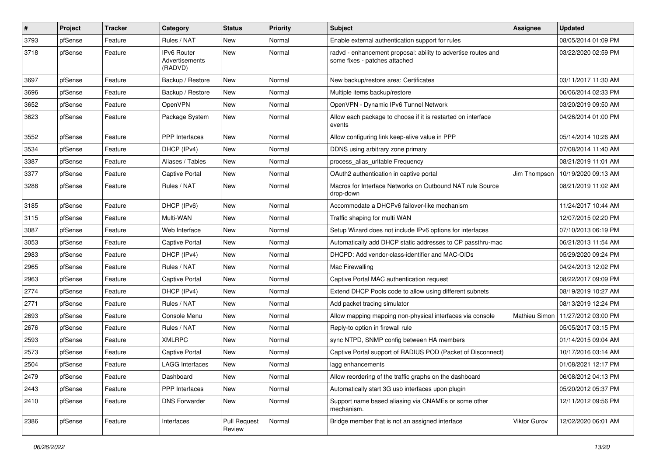| $\vert$ # | Project | <b>Tracker</b> | Category                                        | <b>Status</b>                 | <b>Priority</b> | Subject                                                                                        | Assignee      | <b>Updated</b>      |
|-----------|---------|----------------|-------------------------------------------------|-------------------------------|-----------------|------------------------------------------------------------------------------------------------|---------------|---------------------|
| 3793      | pfSense | Feature        | Rules / NAT                                     | New                           | Normal          | Enable external authentication support for rules                                               |               | 08/05/2014 01:09 PM |
| 3718      | pfSense | Feature        | <b>IPv6 Router</b><br>Advertisements<br>(RADVD) | <b>New</b>                    | Normal          | radvd - enhancement proposal: ability to advertise routes and<br>some fixes - patches attached |               | 03/22/2020 02:59 PM |
| 3697      | pfSense | Feature        | Backup / Restore                                | <b>New</b>                    | Normal          | New backup/restore area: Certificates                                                          |               | 03/11/2017 11:30 AM |
| 3696      | pfSense | Feature        | Backup / Restore                                | New                           | Normal          | Multiple items backup/restore                                                                  |               | 06/06/2014 02:33 PM |
| 3652      | pfSense | Feature        | OpenVPN                                         | <b>New</b>                    | Normal          | OpenVPN - Dynamic IPv6 Tunnel Network                                                          |               | 03/20/2019 09:50 AM |
| 3623      | pfSense | Feature        | Package System                                  | <b>New</b>                    | Normal          | Allow each package to choose if it is restarted on interface<br>events                         |               | 04/26/2014 01:00 PM |
| 3552      | pfSense | Feature        | PPP Interfaces                                  | <b>New</b>                    | Normal          | Allow configuring link keep-alive value in PPP                                                 |               | 05/14/2014 10:26 AM |
| 3534      | pfSense | Feature        | DHCP (IPv4)                                     | New                           | Normal          | DDNS using arbitrary zone primary                                                              |               | 07/08/2014 11:40 AM |
| 3387      | pfSense | Feature        | Aliases / Tables                                | New                           | Normal          | process_alias_urItable Frequency                                                               |               | 08/21/2019 11:01 AM |
| 3377      | pfSense | Feature        | <b>Captive Portal</b>                           | <b>New</b>                    | Normal          | OAuth2 authentication in captive portal                                                        | Jim Thompson  | 10/19/2020 09:13 AM |
| 3288      | pfSense | Feature        | Rules / NAT                                     | New                           | Normal          | Macros for Interface Networks on Outbound NAT rule Source<br>drop-down                         |               | 08/21/2019 11:02 AM |
| 3185      | pfSense | Feature        | DHCP (IPv6)                                     | <b>New</b>                    | Normal          | Accommodate a DHCPv6 failover-like mechanism                                                   |               | 11/24/2017 10:44 AM |
| 3115      | pfSense | Feature        | Multi-WAN                                       | New                           | Normal          | Traffic shaping for multi WAN                                                                  |               | 12/07/2015 02:20 PM |
| 3087      | pfSense | Feature        | Web Interface                                   | New                           | Normal          | Setup Wizard does not include IPv6 options for interfaces                                      |               | 07/10/2013 06:19 PM |
| 3053      | pfSense | Feature        | <b>Captive Portal</b>                           | New                           | Normal          | Automatically add DHCP static addresses to CP passthru-mac                                     |               | 06/21/2013 11:54 AM |
| 2983      | pfSense | Feature        | DHCP (IPv4)                                     | <b>New</b>                    | Normal          | DHCPD: Add vendor-class-identifier and MAC-OIDs                                                |               | 05/29/2020 09:24 PM |
| 2965      | pfSense | Feature        | Rules / NAT                                     | <b>New</b>                    | Normal          | Mac Firewalling                                                                                |               | 04/24/2013 12:02 PM |
| 2963      | pfSense | Feature        | <b>Captive Portal</b>                           | New                           | Normal          | Captive Portal MAC authentication request                                                      |               | 08/22/2017 09:09 PM |
| 2774      | pfSense | Feature        | DHCP (IPv4)                                     | New                           | Normal          | Extend DHCP Pools code to allow using different subnets                                        |               | 08/19/2019 10:27 AM |
| 2771      | pfSense | Feature        | Rules / NAT                                     | <b>New</b>                    | Normal          | Add packet tracing simulator                                                                   |               | 08/13/2019 12:24 PM |
| 2693      | pfSense | Feature        | Console Menu                                    | New                           | Normal          | Allow mapping mapping non-physical interfaces via console                                      | Mathieu Simon | 11/27/2012 03:00 PM |
| 2676      | pfSense | Feature        | Rules / NAT                                     | New                           | Normal          | Reply-to option in firewall rule                                                               |               | 05/05/2017 03:15 PM |
| 2593      | pfSense | Feature        | <b>XMLRPC</b>                                   | New                           | Normal          | sync NTPD, SNMP config between HA members                                                      |               | 01/14/2015 09:04 AM |
| 2573      | pfSense | Feature        | <b>Captive Portal</b>                           | New                           | Normal          | Captive Portal support of RADIUS POD (Packet of Disconnect)                                    |               | 10/17/2016 03:14 AM |
| 2504      | pfSense | Feature        | <b>LAGG Interfaces</b>                          | <b>New</b>                    | Normal          | lagg enhancements                                                                              |               | 01/08/2021 12:17 PM |
| 2479      | pfSense | Feature        | Dashboard                                       | New                           | Normal          | Allow reordering of the traffic graphs on the dashboard                                        |               | 06/08/2012 04:13 PM |
| 2443      | pfSense | Feature        | PPP Interfaces                                  | New                           | Normal          | Automatically start 3G usb interfaces upon plugin                                              |               | 05/20/2012 05:37 PM |
| 2410      | pfSense | Feature        | <b>DNS Forwarder</b>                            | New                           | Normal          | Support name based aliasing via CNAMEs or some other<br>mechanism.                             |               | 12/11/2012 09:56 PM |
| 2386      | pfSense | Feature        | Interfaces                                      | <b>Pull Request</b><br>Review | Normal          | Bridge member that is not an assigned interface                                                | Viktor Gurov  | 12/02/2020 06:01 AM |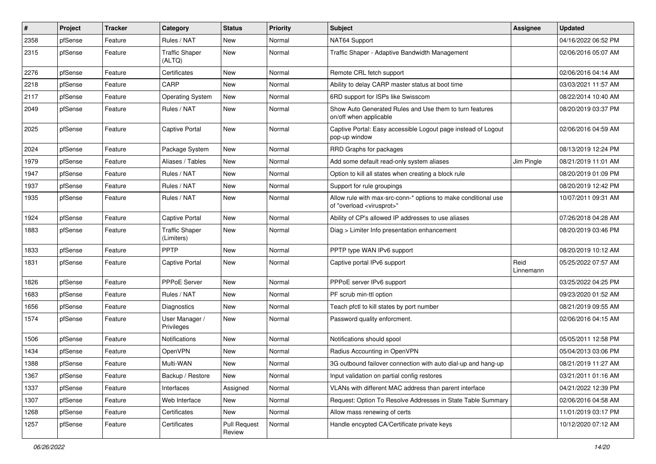| $\vert$ # | Project | <b>Tracker</b> | Category                            | <b>Status</b>                 | <b>Priority</b> | Subject                                                                                                 | Assignee          | <b>Updated</b>      |
|-----------|---------|----------------|-------------------------------------|-------------------------------|-----------------|---------------------------------------------------------------------------------------------------------|-------------------|---------------------|
| 2358      | pfSense | Feature        | Rules / NAT                         | New                           | Normal          | NAT64 Support                                                                                           |                   | 04/16/2022 06:52 PM |
| 2315      | pfSense | Feature        | <b>Traffic Shaper</b><br>(ALTQ)     | <b>New</b>                    | Normal          | Traffic Shaper - Adaptive Bandwidth Management                                                          |                   | 02/06/2016 05:07 AM |
| 2276      | pfSense | Feature        | Certificates                        | <b>New</b>                    | Normal          | Remote CRL fetch support                                                                                |                   | 02/06/2016 04:14 AM |
| 2218      | pfSense | Feature        | CARP                                | New                           | Normal          | Ability to delay CARP master status at boot time                                                        |                   | 03/03/2021 11:57 AM |
| 2117      | pfSense | Feature        | <b>Operating System</b>             | New                           | Normal          | 6RD support for ISPs like Swisscom                                                                      |                   | 08/22/2014 10:40 AM |
| 2049      | pfSense | Feature        | Rules / NAT                         | New                           | Normal          | Show Auto Generated Rules and Use them to turn features<br>on/off when applicable                       |                   | 08/20/2019 03:37 PM |
| 2025      | pfSense | Feature        | <b>Captive Portal</b>               | <b>New</b>                    | Normal          | Captive Portal: Easy accessible Logout page instead of Logout<br>pop-up window                          |                   | 02/06/2016 04:59 AM |
| 2024      | pfSense | Feature        | Package System                      | <b>New</b>                    | Normal          | RRD Graphs for packages                                                                                 |                   | 08/13/2019 12:24 PM |
| 1979      | pfSense | Feature        | Aliases / Tables                    | New                           | Normal          | Add some default read-only system aliases                                                               | Jim Pingle        | 08/21/2019 11:01 AM |
| 1947      | pfSense | Feature        | Rules / NAT                         | New                           | Normal          | Option to kill all states when creating a block rule                                                    |                   | 08/20/2019 01:09 PM |
| 1937      | pfSense | Feature        | Rules / NAT                         | New                           | Normal          | Support for rule groupings                                                                              |                   | 08/20/2019 12:42 PM |
| 1935      | pfSense | Feature        | Rules / NAT                         | New                           | Normal          | Allow rule with max-src-conn-* options to make conditional use<br>of "overload <virusprot>"</virusprot> |                   | 10/07/2011 09:31 AM |
| 1924      | pfSense | Feature        | Captive Portal                      | New                           | Normal          | Ability of CP's allowed IP addresses to use aliases                                                     |                   | 07/26/2018 04:28 AM |
| 1883      | pfSense | Feature        | <b>Traffic Shaper</b><br>(Limiters) | New                           | Normal          | Diag > Limiter Info presentation enhancement                                                            |                   | 08/20/2019 03:46 PM |
| 1833      | pfSense | Feature        | PPTP                                | <b>New</b>                    | Normal          | PPTP type WAN IPv6 support                                                                              |                   | 08/20/2019 10:12 AM |
| 1831      | pfSense | Feature        | Captive Portal                      | New                           | Normal          | Captive portal IPv6 support                                                                             | Reid<br>Linnemann | 05/25/2022 07:57 AM |
| 1826      | pfSense | Feature        | <b>PPPoE Server</b>                 | <b>New</b>                    | Normal          | PPPoE server IPv6 support                                                                               |                   | 03/25/2022 04:25 PM |
| 1683      | pfSense | Feature        | Rules / NAT                         | <b>New</b>                    | Normal          | PF scrub min-ttl option                                                                                 |                   | 09/23/2020 01:52 AM |
| 1656      | pfSense | Feature        | Diagnostics                         | New                           | Normal          | Teach pfctl to kill states by port number                                                               |                   | 08/21/2019 09:55 AM |
| 1574      | pfSense | Feature        | User Manager /<br>Privileges        | New                           | Normal          | Password quality enforcment.                                                                            |                   | 02/06/2016 04:15 AM |
| 1506      | pfSense | Feature        | Notifications                       | <b>New</b>                    | Normal          | Notifications should spool                                                                              |                   | 05/05/2011 12:58 PM |
| 1434      | pfSense | Feature        | OpenVPN                             | <b>New</b>                    | Normal          | Radius Accounting in OpenVPN                                                                            |                   | 05/04/2013 03:06 PM |
| 1388      | pfSense | Feature        | Multi-WAN                           | New                           | Normal          | 3G outbound failover connection with auto dial-up and hang-up                                           |                   | 08/21/2019 11:27 AM |
| 1367      | pfSense | Feature        | Backup / Restore                    | New                           | Normal          | Input validation on partial config restores                                                             |                   | 03/21/2011 01:16 AM |
| 1337      | pfSense | Feature        | Interfaces                          | Assigned                      | Normal          | VLANs with different MAC address than parent interface                                                  |                   | 04/21/2022 12:39 PM |
| 1307      | pfSense | Feature        | Web Interface                       | New                           | Normal          | Request: Option To Resolve Addresses in State Table Summary                                             |                   | 02/06/2016 04:58 AM |
| 1268      | pfSense | Feature        | Certificates                        | New                           | Normal          | Allow mass renewing of certs                                                                            |                   | 11/01/2019 03:17 PM |
| 1257      | pfSense | Feature        | Certificates                        | <b>Pull Request</b><br>Review | Normal          | Handle encypted CA/Certificate private keys                                                             |                   | 10/12/2020 07:12 AM |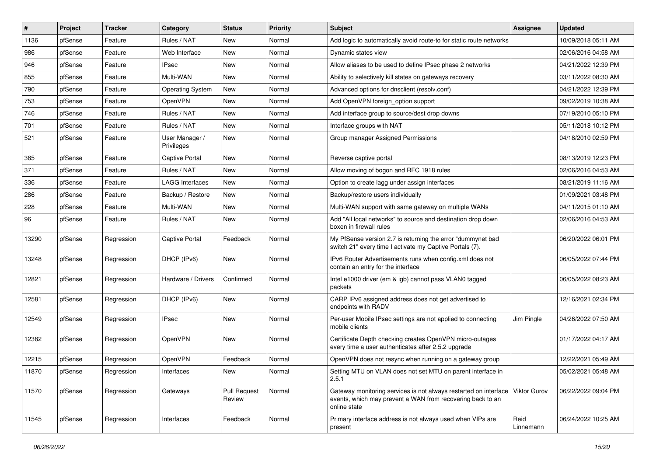| #     | Project | <b>Tracker</b> | Category                     | <b>Status</b>                 | <b>Priority</b> | Subject                                                                                                                                        | <b>Assignee</b>     | <b>Updated</b>      |
|-------|---------|----------------|------------------------------|-------------------------------|-----------------|------------------------------------------------------------------------------------------------------------------------------------------------|---------------------|---------------------|
| 1136  | pfSense | Feature        | Rules / NAT                  | New                           | Normal          | Add logic to automatically avoid route-to for static route networks                                                                            |                     | 10/09/2018 05:11 AM |
| 986   | pfSense | Feature        | Web Interface                | New                           | Normal          | Dynamic states view                                                                                                                            |                     | 02/06/2016 04:58 AM |
| 946   | pfSense | Feature        | <b>IPsec</b>                 | New                           | Normal          | Allow aliases to be used to define IPsec phase 2 networks                                                                                      |                     | 04/21/2022 12:39 PM |
| 855   | pfSense | Feature        | Multi-WAN                    | <b>New</b>                    | Normal          | Ability to selectively kill states on gateways recovery                                                                                        |                     | 03/11/2022 08:30 AM |
| 790   | pfSense | Feature        | <b>Operating System</b>      | New                           | Normal          | Advanced options for dnsclient (resolv.conf)                                                                                                   |                     | 04/21/2022 12:39 PM |
| 753   | pfSense | Feature        | OpenVPN                      | New                           | Normal          | Add OpenVPN foreign option support                                                                                                             |                     | 09/02/2019 10:38 AM |
| 746   | pfSense | Feature        | Rules / NAT                  | New                           | Normal          | Add interface group to source/dest drop downs                                                                                                  |                     | 07/19/2010 05:10 PM |
| 701   | pfSense | Feature        | Rules / NAT                  | <b>New</b>                    | Normal          | Interface groups with NAT                                                                                                                      |                     | 05/11/2018 10:12 PM |
| 521   | pfSense | Feature        | User Manager /<br>Privileges | New                           | Normal          | Group manager Assigned Permissions                                                                                                             |                     | 04/18/2010 02:59 PM |
| 385   | pfSense | Feature        | <b>Captive Portal</b>        | New                           | Normal          | Reverse captive portal                                                                                                                         |                     | 08/13/2019 12:23 PM |
| 371   | pfSense | Feature        | Rules / NAT                  | <b>New</b>                    | Normal          | Allow moving of bogon and RFC 1918 rules                                                                                                       |                     | 02/06/2016 04:53 AM |
| 336   | pfSense | Feature        | <b>LAGG Interfaces</b>       | <b>New</b>                    | Normal          | Option to create lagg under assign interfaces                                                                                                  |                     | 08/21/2019 11:16 AM |
| 286   | pfSense | Feature        | Backup / Restore             | New                           | Normal          | Backup/restore users individually                                                                                                              |                     | 01/09/2021 03:48 PM |
| 228   | pfSense | Feature        | Multi-WAN                    | New                           | Normal          | Multi-WAN support with same gateway on multiple WANs                                                                                           |                     | 04/11/2015 01:10 AM |
| 96    | pfSense | Feature        | Rules / NAT                  | <b>New</b>                    | Normal          | Add "All local networks" to source and destination drop down<br>boxen in firewall rules                                                        |                     | 02/06/2016 04:53 AM |
| 13290 | pfSense | Regression     | <b>Captive Portal</b>        | Feedback                      | Normal          | My PfSense version 2.7 is returning the error "dummynet bad<br>switch 21" every time I activate my Captive Portals (7).                        |                     | 06/20/2022 06:01 PM |
| 13248 | pfSense | Regression     | DHCP (IPv6)                  | <b>New</b>                    | Normal          | IPv6 Router Advertisements runs when config.xml does not<br>contain an entry for the interface                                                 |                     | 06/05/2022 07:44 PM |
| 12821 | pfSense | Regression     | Hardware / Drivers           | Confirmed                     | Normal          | Intel e1000 driver (em & igb) cannot pass VLAN0 tagged<br>packets                                                                              |                     | 06/05/2022 08:23 AM |
| 12581 | pfSense | Regression     | DHCP (IPv6)                  | <b>New</b>                    | Normal          | CARP IPv6 assigned address does not get advertised to<br>endpoints with RADV                                                                   |                     | 12/16/2021 02:34 PM |
| 12549 | pfSense | Regression     | <b>IPsec</b>                 | New                           | Normal          | Per-user Mobile IPsec settings are not applied to connecting<br>mobile clients                                                                 | Jim Pingle          | 04/26/2022 07:50 AM |
| 12382 | pfSense | Regression     | OpenVPN                      | New                           | Normal          | Certificate Depth checking creates OpenVPN micro-outages<br>every time a user authenticates after 2.5.2 upgrade                                |                     | 01/17/2022 04:17 AM |
| 12215 | pfSense | Regression     | OpenVPN                      | Feedback                      | Normal          | OpenVPN does not resync when running on a gateway group                                                                                        |                     | 12/22/2021 05:49 AM |
| 11870 | pfSense | Regression     | Interfaces                   | New                           | Normal          | Setting MTU on VLAN does not set MTU on parent interface in<br>2.5.1                                                                           |                     | 05/02/2021 05:48 AM |
| 11570 | pfSense | Regression     | Gateways                     | <b>Pull Request</b><br>Review | Normal          | Gateway monitoring services is not always restarted on interface<br>events, which may prevent a WAN from recovering back to an<br>online state | <b>Viktor Gurov</b> | 06/22/2022 09:04 PM |
| 11545 | pfSense | Regression     | Interfaces                   | Feedback                      | Normal          | Primary interface address is not always used when VIPs are<br>present                                                                          | Reid<br>Linnemann   | 06/24/2022 10:25 AM |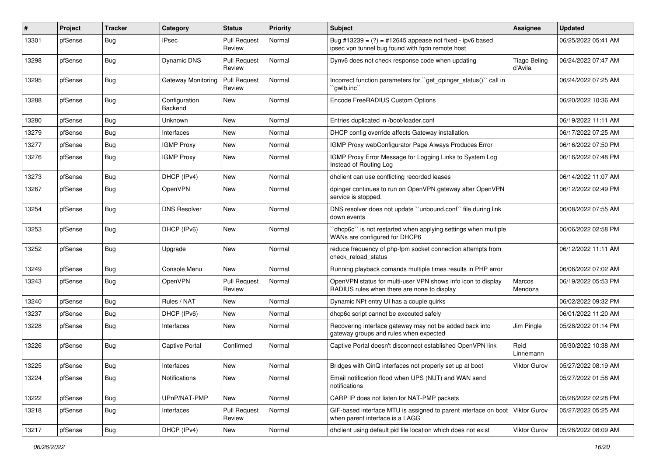| #     | Project | <b>Tracker</b> | Category                 | <b>Status</b>                 | <b>Priority</b> | Subject                                                                                                        | Assignee                       | <b>Updated</b>      |
|-------|---------|----------------|--------------------------|-------------------------------|-----------------|----------------------------------------------------------------------------------------------------------------|--------------------------------|---------------------|
| 13301 | pfSense | <b>Bug</b>     | IPsec                    | <b>Pull Request</b><br>Review | Normal          | Bug #13239 = $(?)$ = #12645 appease not fixed - ipv6 based<br>ipsec vpn tunnel bug found with fqdn remote host |                                | 06/25/2022 05:41 AM |
| 13298 | pfSense | <b>Bug</b>     | Dynamic DNS              | <b>Pull Request</b><br>Review | Normal          | Dynv6 does not check response code when updating                                                               | <b>Tiago Beling</b><br>d'Avila | 06/24/2022 07:47 AM |
| 13295 | pfSense | Bug            | Gateway Monitoring       | <b>Pull Request</b><br>Review | Normal          | Incorrect function parameters for "get_dpinger_status()" call in<br>`qwlb.inc``                                |                                | 06/24/2022 07:25 AM |
| 13288 | pfSense | Bug            | Configuration<br>Backend | <b>New</b>                    | Normal          | Encode FreeRADIUS Custom Options                                                                               |                                | 06/20/2022 10:36 AM |
| 13280 | pfSense | Bug            | Unknown                  | New                           | Normal          | Entries duplicated in /boot/loader.conf                                                                        |                                | 06/19/2022 11:11 AM |
| 13279 | pfSense | <b>Bug</b>     | Interfaces               | New                           | Normal          | DHCP config override affects Gateway installation.                                                             |                                | 06/17/2022 07:25 AM |
| 13277 | pfSense | Bug            | <b>IGMP Proxy</b>        | New                           | Normal          | IGMP Proxy webConfigurator Page Always Produces Error                                                          |                                | 06/16/2022 07:50 PM |
| 13276 | pfSense | Bug            | <b>IGMP Proxy</b>        | New                           | Normal          | IGMP Proxy Error Message for Logging Links to System Log<br>Instead of Routing Log                             |                                | 06/16/2022 07:48 PM |
| 13273 | pfSense | Bug            | DHCP (IPv4)              | New                           | Normal          | dhclient can use conflicting recorded leases                                                                   |                                | 06/14/2022 11:07 AM |
| 13267 | pfSense | <b>Bug</b>     | OpenVPN                  | <b>New</b>                    | Normal          | dpinger continues to run on OpenVPN gateway after OpenVPN<br>service is stopped.                               |                                | 06/12/2022 02:49 PM |
| 13254 | pfSense | Bug            | <b>DNS Resolver</b>      | New                           | Normal          | DNS resolver does not update "unbound.conf" file during link<br>down events                                    |                                | 06/08/2022 07:55 AM |
| 13253 | pfSense | <b>Bug</b>     | DHCP (IPv6)              | New                           | Normal          | 'dhcp6c'' is not restarted when applying settings when multiple<br>WANs are configured for DHCP6               |                                | 06/06/2022 02:58 PM |
| 13252 | pfSense | Bug            | Upgrade                  | New                           | Normal          | reduce frequency of php-fpm socket connection attempts from<br>check reload status                             |                                | 06/12/2022 11:11 AM |
| 13249 | pfSense | Bug            | Console Menu             | New                           | Normal          | Running playback comands multiple times results in PHP error                                                   |                                | 06/06/2022 07:02 AM |
| 13243 | pfSense | Bug            | OpenVPN                  | <b>Pull Request</b><br>Review | Normal          | OpenVPN status for multi-user VPN shows info icon to display<br>RADIUS rules when there are none to display    | <b>Marcos</b><br>Mendoza       | 06/19/2022 05:53 PM |
| 13240 | pfSense | <b>Bug</b>     | Rules / NAT              | New                           | Normal          | Dynamic NPt entry UI has a couple quirks                                                                       |                                | 06/02/2022 09:32 PM |
| 13237 | pfSense | Bug            | DHCP (IPv6)              | New                           | Normal          | dhcp6c script cannot be executed safely                                                                        |                                | 06/01/2022 11:20 AM |
| 13228 | pfSense | Bug            | Interfaces               | <b>New</b>                    | Normal          | Recovering interface gateway may not be added back into<br>gateway groups and rules when expected              | Jim Pingle                     | 05/28/2022 01:14 PM |
| 13226 | pfSense | <b>Bug</b>     | <b>Captive Portal</b>    | Confirmed                     | Normal          | Captive Portal doesn't disconnect established OpenVPN link                                                     | Reid<br>Linnemann              | 05/30/2022 10:38 AM |
| 13225 | pfSense | <b>Bug</b>     | Interfaces               | New                           | Normal          | Bridges with QinQ interfaces not properly set up at boot                                                       | Viktor Gurov                   | 05/27/2022 08:19 AM |
| 13224 | pfSense | <b>Bug</b>     | Notifications            | New                           | Normal          | Email notification flood when UPS (NUT) and WAN send<br>notifications                                          |                                | 05/27/2022 01:58 AM |
| 13222 | pfSense | <b>Bug</b>     | UPnP/NAT-PMP             | New                           | Normal          | CARP IP does not listen for NAT-PMP packets                                                                    |                                | 05/26/2022 02:28 PM |
| 13218 | pfSense | Bug            | Interfaces               | <b>Pull Request</b><br>Review | Normal          | GIF-based interface MTU is assigned to parent interface on boot<br>when parent interface is a LAGG             | <b>Viktor Gurov</b>            | 05/27/2022 05:25 AM |
| 13217 | pfSense | Bug            | DHCP (IPv4)              | New                           | Normal          | dhclient using default pid file location which does not exist                                                  | Viktor Gurov                   | 05/26/2022 08:09 AM |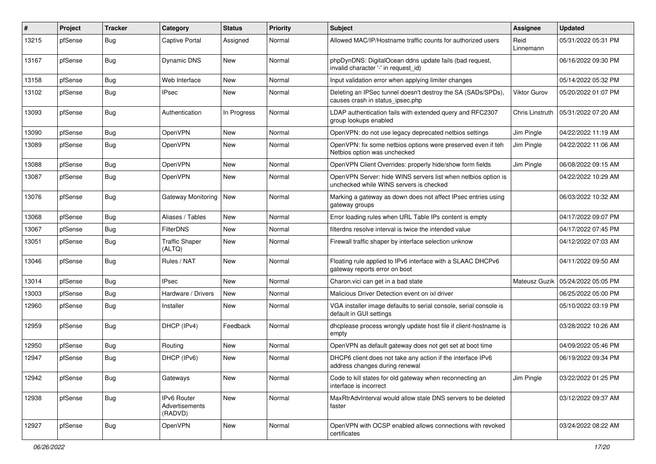| $\#$  | Project | <b>Tracker</b> | Category                                 | <b>Status</b> | <b>Priority</b> | <b>Subject</b>                                                                                           | Assignee          | <b>Updated</b>      |
|-------|---------|----------------|------------------------------------------|---------------|-----------------|----------------------------------------------------------------------------------------------------------|-------------------|---------------------|
| 13215 | pfSense | <b>Bug</b>     | <b>Captive Portal</b>                    | Assigned      | Normal          | Allowed MAC/IP/Hostname traffic counts for authorized users                                              | Reid<br>Linnemann | 05/31/2022 05:31 PM |
| 13167 | pfSense | Bug            | Dynamic DNS                              | New           | Normal          | phpDynDNS: DigitalOcean ddns update fails (bad request,<br>invalid character '-' in request_id)          |                   | 06/16/2022 09:30 PM |
| 13158 | pfSense | Bug            | Web Interface                            | <b>New</b>    | Normal          | Input validation error when applying limiter changes                                                     |                   | 05/14/2022 05:32 PM |
| 13102 | pfSense | Bug            | <b>IPsec</b>                             | <b>New</b>    | Normal          | Deleting an IPSec tunnel doesn't destroy the SA (SADs/SPDs),<br>causes crash in status_ipsec.php         | Viktor Gurov      | 05/20/2022 01:07 PM |
| 13093 | pfSense | <b>Bug</b>     | Authentication                           | In Progress   | Normal          | LDAP authentication fails with extended query and RFC2307<br>group lookups enabled                       | Chris Linstruth   | 05/31/2022 07:20 AM |
| 13090 | pfSense | <b>Bug</b>     | OpenVPN                                  | New           | Normal          | OpenVPN: do not use legacy deprecated netbios settings                                                   | Jim Pingle        | 04/22/2022 11:19 AM |
| 13089 | pfSense | <b>Bug</b>     | OpenVPN                                  | New           | Normal          | OpenVPN: fix some netbios options were preserved even if teh<br>Netbios option was unchecked             | Jim Pingle        | 04/22/2022 11:06 AM |
| 13088 | pfSense | <b>Bug</b>     | OpenVPN                                  | <b>New</b>    | Normal          | OpenVPN Client Overrides: properly hide/show form fields                                                 | Jim Pingle        | 06/08/2022 09:15 AM |
| 13087 | pfSense | Bug            | OpenVPN                                  | New           | Normal          | OpenVPN Server: hide WINS servers list when netbios option is<br>unchecked while WINS servers is checked |                   | 04/22/2022 10:29 AM |
| 13076 | pfSense | <b>Bug</b>     | <b>Gateway Monitoring</b>                | New           | Normal          | Marking a gateway as down does not affect IPsec entries using<br>gateway groups                          |                   | 06/03/2022 10:32 AM |
| 13068 | pfSense | <b>Bug</b>     | Aliases / Tables                         | <b>New</b>    | Normal          | Error loading rules when URL Table IPs content is empty                                                  |                   | 04/17/2022 09:07 PM |
| 13067 | pfSense | <b>Bug</b>     | <b>FilterDNS</b>                         | <b>New</b>    | Normal          | filterdns resolve interval is twice the intended value                                                   |                   | 04/17/2022 07:45 PM |
| 13051 | pfSense | <b>Bug</b>     | <b>Traffic Shaper</b><br>(ALTQ)          | New           | Normal          | Firewall traffic shaper by interface selection unknow                                                    |                   | 04/12/2022 07:03 AM |
| 13046 | pfSense | <b>Bug</b>     | Rules / NAT                              | New           | Normal          | Floating rule applied to IPv6 interface with a SLAAC DHCPv6<br>gateway reports error on boot             |                   | 04/11/2022 09:50 AM |
| 13014 | pfSense | Bug            | <b>IPsec</b>                             | <b>New</b>    | Normal          | Charon.vici can get in a bad state                                                                       | Mateusz Guzik     | 05/24/2022 05:05 PM |
| 13003 | pfSense | <b>Bug</b>     | Hardware / Drivers                       | New           | Normal          | Malicious Driver Detection event on ixl driver                                                           |                   | 06/25/2022 05:00 PM |
| 12960 | pfSense | <b>Bug</b>     | Installer                                | New           | Normal          | VGA installer image defaults to serial console, serial console is<br>default in GUI settings             |                   | 05/10/2022 03:19 PM |
| 12959 | pfSense | <b>Bug</b>     | DHCP (IPv4)                              | Feedback      | Normal          | dhcplease process wrongly update host file if client-hostname is<br>empty                                |                   | 03/28/2022 10:26 AM |
| 12950 | pfSense | <b>Bug</b>     | Routing                                  | <b>New</b>    | Normal          | OpenVPN as default gateway does not get set at boot time                                                 |                   | 04/09/2022 05:46 PM |
| 12947 | pfSense | <b>Bug</b>     | DHCP (IPv6)                              | <b>New</b>    | Normal          | DHCP6 client does not take any action if the interface IPv6<br>address changes during renewal            |                   | 06/19/2022 09:34 PM |
| 12942 | pfSense | <b>Bug</b>     | Gateways                                 | New           | Normal          | Code to kill states for old gateway when reconnecting an<br>interface is incorrect                       | Jim Pingle        | 03/22/2022 01:25 PM |
| 12938 | pfSense | <b>Bug</b>     | IPv6 Router<br>Advertisements<br>(RADVD) | New           | Normal          | MaxRtrAdvInterval would allow stale DNS servers to be deleted<br>faster                                  |                   | 03/12/2022 09:37 AM |
| 12927 | pfSense | Bug            | OpenVPN                                  | New           | Normal          | OpenVPN with OCSP enabled allows connections with revoked<br>certificates                                |                   | 03/24/2022 08:22 AM |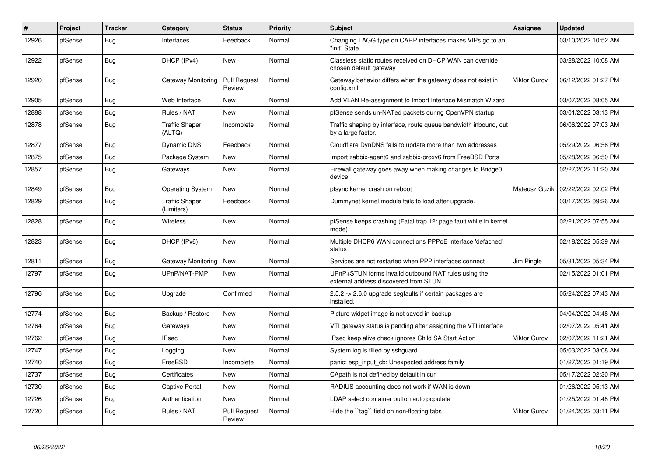| #     | Project | <b>Tracker</b> | Category                            | <b>Status</b>                 | <b>Priority</b> | <b>Subject</b>                                                                                | Assignee            | <b>Updated</b>      |
|-------|---------|----------------|-------------------------------------|-------------------------------|-----------------|-----------------------------------------------------------------------------------------------|---------------------|---------------------|
| 12926 | pfSense | Bug            | Interfaces                          | Feedback                      | Normal          | Changing LAGG type on CARP interfaces makes VIPs go to an<br>"init" State                     |                     | 03/10/2022 10:52 AM |
| 12922 | pfSense | <b>Bug</b>     | DHCP (IPv4)                         | <b>New</b>                    | Normal          | Classless static routes received on DHCP WAN can override<br>chosen default gateway           |                     | 03/28/2022 10:08 AM |
| 12920 | pfSense | <b>Bug</b>     | Gateway Monitoring                  | <b>Pull Request</b><br>Review | Normal          | Gateway behavior differs when the gateway does not exist in<br>config.xml                     | <b>Viktor Gurov</b> | 06/12/2022 01:27 PM |
| 12905 | pfSense | <b>Bug</b>     | Web Interface                       | <b>New</b>                    | Normal          | Add VLAN Re-assignment to Import Interface Mismatch Wizard                                    |                     | 03/07/2022 08:05 AM |
| 12888 | pfSense | Bug            | Rules / NAT                         | <b>New</b>                    | Normal          | pfSense sends un-NATed packets during OpenVPN startup                                         |                     | 03/01/2022 03:13 PM |
| 12878 | pfSense | <b>Bug</b>     | <b>Traffic Shaper</b><br>(ALTQ)     | Incomplete                    | Normal          | Traffic shaping by interface, route queue bandwidth inbound, out<br>by a large factor.        |                     | 06/06/2022 07:03 AM |
| 12877 | pfSense | <b>Bug</b>     | Dynamic DNS                         | Feedback                      | Normal          | Cloudflare DynDNS fails to update more than two addresses                                     |                     | 05/29/2022 06:56 PM |
| 12875 | pfSense | Bug            | Package System                      | <b>New</b>                    | Normal          | Import zabbix-agent6 and zabbix-proxy6 from FreeBSD Ports                                     |                     | 05/28/2022 06:50 PM |
| 12857 | pfSense | <b>Bug</b>     | Gateways                            | New                           | Normal          | Firewall gateway goes away when making changes to Bridge0<br>device                           |                     | 02/27/2022 11:20 AM |
| 12849 | pfSense | <b>Bug</b>     | <b>Operating System</b>             | <b>New</b>                    | Normal          | pfsync kernel crash on reboot                                                                 | Mateusz Guzik       | 02/22/2022 02:02 PM |
| 12829 | pfSense | Bug            | <b>Traffic Shaper</b><br>(Limiters) | Feedback                      | Normal          | Dummynet kernel module fails to load after upgrade.                                           |                     | 03/17/2022 09:26 AM |
| 12828 | pfSense | <b>Bug</b>     | Wireless                            | <b>New</b>                    | Normal          | pfSense keeps crashing (Fatal trap 12: page fault while in kernel<br>mode)                    |                     | 02/21/2022 07:55 AM |
| 12823 | pfSense | <b>Bug</b>     | DHCP (IPv6)                         | <b>New</b>                    | Normal          | Multiple DHCP6 WAN connections PPPoE interface 'defached'<br>status                           |                     | 02/18/2022 05:39 AM |
| 12811 | pfSense | <b>Bug</b>     | Gateway Monitoring                  | <b>New</b>                    | Normal          | Services are not restarted when PPP interfaces connect                                        | Jim Pingle          | 05/31/2022 05:34 PM |
| 12797 | pfSense | <b>Bug</b>     | UPnP/NAT-PMP                        | <b>New</b>                    | Normal          | UPnP+STUN forms invalid outbound NAT rules using the<br>external address discovered from STUN |                     | 02/15/2022 01:01 PM |
| 12796 | pfSense | Bug            | Upgrade                             | Confirmed                     | Normal          | 2.5.2 -> 2.6.0 upgrade segfaults if certain packages are<br>installed.                        |                     | 05/24/2022 07:43 AM |
| 12774 | pfSense | <b>Bug</b>     | Backup / Restore                    | New                           | Normal          | Picture widget image is not saved in backup                                                   |                     | 04/04/2022 04:48 AM |
| 12764 | pfSense | Bug            | Gateways                            | <b>New</b>                    | Normal          | VTI gateway status is pending after assigning the VTI interface                               |                     | 02/07/2022 05:41 AM |
| 12762 | pfSense | <b>Bug</b>     | <b>IPsec</b>                        | New                           | Normal          | IPsec keep alive check ignores Child SA Start Action                                          | <b>Viktor Gurov</b> | 02/07/2022 11:21 AM |
| 12747 | pfSense | <b>Bug</b>     | Logging                             | New                           | Normal          | System log is filled by sshguard                                                              |                     | 05/03/2022 03:08 AM |
| 12740 | pfSense | Bug            | FreeBSD                             | Incomplete                    | Normal          | panic: esp input cb: Unexpected address family                                                |                     | 01/27/2022 01:19 PM |
| 12737 | pfSense | Bug            | Certificates                        | <b>New</b>                    | Normal          | CApath is not defined by default in curl                                                      |                     | 05/17/2022 02:30 PM |
| 12730 | pfSense | <b>Bug</b>     | <b>Captive Portal</b>               | <b>New</b>                    | Normal          | RADIUS accounting does not work if WAN is down                                                |                     | 01/26/2022 05:13 AM |
| 12726 | pfSense | Bug            | Authentication                      | <b>New</b>                    | Normal          | LDAP select container button auto populate                                                    |                     | 01/25/2022 01:48 PM |
| 12720 | pfSense | Bug            | Rules / NAT                         | <b>Pull Request</b><br>Review | Normal          | Hide the "tag" field on non-floating tabs                                                     | Viktor Gurov        | 01/24/2022 03:11 PM |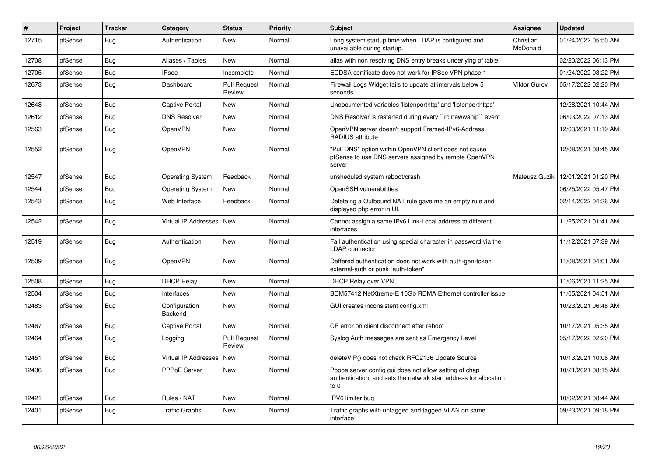| ∦     | Project | <b>Tracker</b> | Category                    | <b>Status</b>                 | Priority | <b>Subject</b>                                                                                                                      | Assignee              | <b>Updated</b>      |
|-------|---------|----------------|-----------------------------|-------------------------------|----------|-------------------------------------------------------------------------------------------------------------------------------------|-----------------------|---------------------|
| 12715 | pfSense | Bug            | Authentication              | <b>New</b>                    | Normal   | Long system startup time when LDAP is configured and<br>unavailable during startup.                                                 | Christian<br>McDonald | 01/24/2022 05:50 AM |
| 12708 | pfSense | Bug            | Aliases / Tables            | <b>New</b>                    | Normal   | alias with non resolving DNS entry breaks underlying pf table                                                                       |                       | 02/20/2022 06:13 PM |
| 12705 | pfSense | <b>Bug</b>     | <b>IPsec</b>                | Incomplete                    | Normal   | ECDSA certificate does not work for IPSec VPN phase 1                                                                               |                       | 01/24/2022 03:22 PM |
| 12673 | pfSense | <b>Bug</b>     | Dashboard                   | <b>Pull Request</b><br>Review | Normal   | Firewall Logs Widget fails to update at intervals below 5<br>seconds.                                                               | <b>Viktor Gurov</b>   | 05/17/2022 02:20 PM |
| 12648 | pfSense | Bug            | <b>Captive Portal</b>       | <b>New</b>                    | Normal   | Undocumented variables 'listenporthttp' and 'listenporthttps'                                                                       |                       | 12/28/2021 10:44 AM |
| 12612 | pfSense | <b>Bug</b>     | <b>DNS Resolver</b>         | <b>New</b>                    | Normal   | DNS Resolver is restarted during every "rc.newwanip" event                                                                          |                       | 06/03/2022 07:13 AM |
| 12563 | pfSense | <b>Bug</b>     | OpenVPN                     | <b>New</b>                    | Normal   | OpenVPN server doesn't support Framed-IPv6-Address<br>RADIUS attribute                                                              |                       | 12/03/2021 11:19 AM |
| 12552 | pfSense | <b>Bug</b>     | OpenVPN                     | <b>New</b>                    | Normal   | "Pull DNS" option within OpenVPN client does not cause<br>pfSense to use DNS servers assigned by remote OpenVPN<br>server           |                       | 12/08/2021 08:45 AM |
| 12547 | pfSense | Bug            | <b>Operating System</b>     | Feedback                      | Normal   | unsheduled system reboot/crash                                                                                                      | Mateusz Guzik         | 12/01/2021 01:20 PM |
| 12544 | pfSense | <b>Bug</b>     | <b>Operating System</b>     | <b>New</b>                    | Normal   | OpenSSH vulnerabilities                                                                                                             |                       | 06/25/2022 05:47 PM |
| 12543 | pfSense | Bug            | Web Interface               | Feedback                      | Normal   | Deleteing a Outbound NAT rule gave me an empty rule and<br>displayed php error in UI.                                               |                       | 02/14/2022 04:36 AM |
| 12542 | pfSense | <b>Bug</b>     | <b>Virtual IP Addresses</b> | <b>New</b>                    | Normal   | Cannot assign a same IPv6 Link-Local address to different<br>interfaces                                                             |                       | 11/25/2021 01:41 AM |
| 12519 | pfSense | Bug            | Authentication              | New                           | Normal   | Fail authentication using special character in password via the<br><b>LDAP</b> connector                                            |                       | 11/12/2021 07:39 AM |
| 12509 | pfSense | <b>Bug</b>     | OpenVPN                     | <b>New</b>                    | Normal   | Deffered authentication does not work with auth-gen-token<br>external-auth or pusk "auth-token"                                     |                       | 11/08/2021 04:01 AM |
| 12508 | pfSense | Bug            | <b>DHCP Relay</b>           | New                           | Normal   | DHCP Relay over VPN                                                                                                                 |                       | 11/06/2021 11:25 AM |
| 12504 | pfSense | <b>Bug</b>     | Interfaces                  | <b>New</b>                    | Normal   | BCM57412 NetXtreme-E 10Gb RDMA Ethernet controller issue                                                                            |                       | 11/05/2021 04:51 AM |
| 12483 | pfSense | Bug            | Configuration<br>Backend    | New                           | Normal   | GUI creates inconsistent config.xml                                                                                                 |                       | 10/23/2021 06:48 AM |
| 12467 | pfSense | Bug            | Captive Portal              | New                           | Normal   | CP error on client disconnect after reboot                                                                                          |                       | 10/17/2021 05:35 AM |
| 12464 | pfSense | Bug            | Logging                     | <b>Pull Request</b><br>Review | Normal   | Syslog Auth messages are sent as Emergency Level                                                                                    |                       | 05/17/2022 02:20 PM |
| 12451 | pfSense | <b>Bug</b>     | <b>Virtual IP Addresses</b> | <b>New</b>                    | Normal   | deleteVIP() does not check RFC2136 Update Source                                                                                    |                       | 10/13/2021 10:06 AM |
| 12436 | pfSense | <b>Bug</b>     | PPPoE Server                | New                           | Normal   | Pppoe server config gui does not allow setting of chap<br>authentication, and sets the network start address for allocation<br>to 0 |                       | 10/21/2021 08:15 AM |
| 12421 | pfSense | <b>Bug</b>     | Rules / NAT                 | <b>New</b>                    | Normal   | IPV6 limiter bug                                                                                                                    |                       | 10/02/2021 08:44 AM |
| 12401 | pfSense | <b>Bug</b>     | <b>Traffic Graphs</b>       | <b>New</b>                    | Normal   | Traffic graphs with untagged and tagged VLAN on same<br>interface                                                                   |                       | 09/23/2021 09:18 PM |